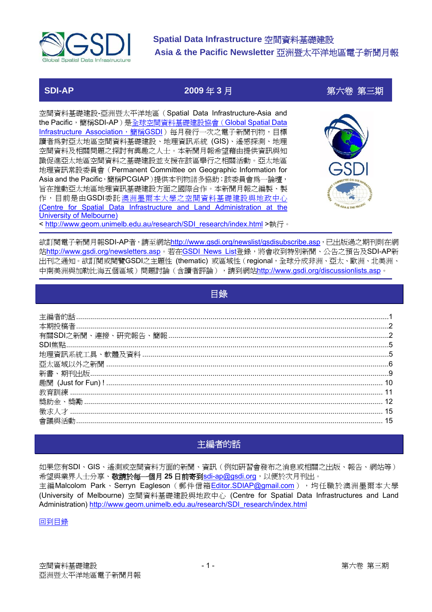<span id="page-0-0"></span>

**SDI-AP 2009** 年 **3** 月第六卷 第三期

空間資料基礎建設-亞洲暨太平洋地區(Spatial Data Infrastructure-Asia and the Pacific,簡稱SDI-AP)是[全球空間資料基礎建設協會\(](http://www.gsdi.org/)Global Spatial Data [Infrastructure Association](http://www.gsdi.org/),簡稱GSDI)每月發行一次之電子新聞刊物,目標 讀者為對亞太地區空間資料基礎建設、地理資訊系統 (GIS)、遙感探測、地理 空間資料及相關問題之探討有興趣之人士。本新聞月報希望藉由提供資訊與知 識促進亞太地區空間資料之基礎建設並支援在該區舉行之相關活動。亞太地區 地理資訊常設委員會(Permanent Committee on Geographic Information for Asia and the Pacific,簡稱PCGIAP)提供本刊物諸多協助;該委員會爲一論壇, 旨在推動亞太地區地理資訊基礎建設方面之國際合作。本新聞月報之編製、製 作,目前是由GSDI委託 [澳洲墨爾本大學之空間資料基礎建設與地政中心](http://www.geom.unimelb.edu.au/research/SDI_research/index.html) [\(Centre for Spatial Data Infrastructure and Land Administration at the](http://www.geom.unimelb.edu.au/research/SDI_research/index.html) [University of Melbourne\)](http://www.geom.unimelb.edu.au/research/SDI_research/index.html) < [http://www.geom.unimelb.edu.au/research/SDI\\_research/index.html](http://www.geom.unimelb.edu.au/research/SDI_research/index.html) >執行。



欲訂閱電子新聞月報SDI-AP者,請至網站<http://www.gsdi.org/newslist/gsdisubscribe.asp>,已出版過之期刊則在網 站<http://www.gsdi.org/newsletters.asp>。若在[GSDI News List](http://www.gsdi.org/newslist/gsdisubscribe.asp)登錄,將會收到特別新聞、公告之預告及SDI-AP新 出刊之通知。欲訂閱或閱覽GSDI之主題性 (thematic) 或區域性(regional,全球分成非洲、亞太、歐洲、北美洲、 中南美洲與加勒比海五個區域)問題討論(含讀者評論),請到網站<http://www.gsdi.org/discussionlists.asp>。

| 目錄 |  |
|----|--|
|    |  |
|    |  |
|    |  |
|    |  |
|    |  |
|    |  |
|    |  |
|    |  |
|    |  |
|    |  |
|    |  |

# 主編者的話

如果您有SDI、GIS、遙測或空間資料方面的新聞、資訊(例如研習會發布之消息或相關之出版、報告、網站等) 希望與業界人士分享、敬請於每一個月 **25** 日前寄到[sdi-ap@gsdi.org](mailto:sdi-ap@gsdi.org),以便於次月刊出。 主編Malcolom Park、Serryn Eagleson (郵件信箱[Editor.SDIAP@gmail.com](mailto:Editor.SDIAP@gmail.com)),句任職於澳洲墨爾本大學 (University of Melbourne) 空間資料基礎建設與地政中心 (Centre for Spatial Data Infrastructures and Land Administration) [http://www.geom.unimelb.edu.au/research/SDI\\_research/index.html](http://www.geom.unimelb.edu.au/research/SDI_research/index.html)

#### 回到目錄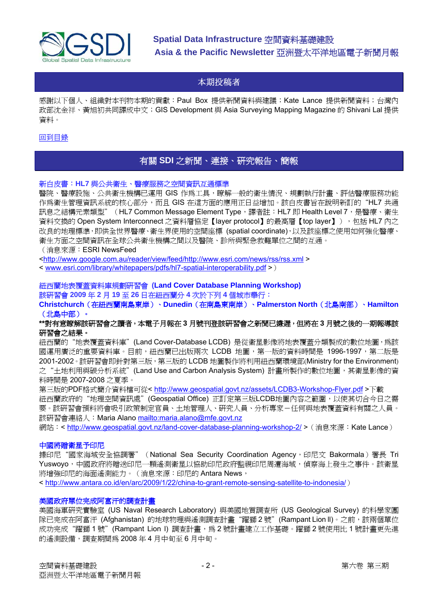<span id="page-1-0"></span>

### 本期投稿者

感謝以下個人、組織對本刊物本期的貢獻:Paul Box 提供新聞資料與建議;Kate Lance 提供新聞資料;台灣內 政部沈金祥、黃旭初共同譯成中文;GIS Development 與 Asia Surveying Mapping Magazine 的 Shivani Lal 提供 資料。

#### [回到目錄](#page-0-0)

### 有關 **SDI** 之新聞、連接、研究報告、簡報

#### 新白皮書:**HL7** 與公共衛生、醫療服務之空間資訊互通標準

醫院、醫療設施、公共衛生機構已運用 GIS 作為工具,瞭解一般的衛生情況、規劃執行計畫、評估醫療服務功能 作為衛生管理資訊系統的核心部分,而且 GIS 在這方面的應用正日益增加。該白皮書旨在說明新訂的"HL7 共通 訊息之結構元素類型"(HL7 Common Message Element Type, 譯者註: HL7 即 Health Level 7, 是醫療、衛生 資料交換的 Open System Interconnect 之資料層協定【layer protocol】的最高層【top layer】),包括 HL7 內之 改良的地理標準,即供全世界醫療、衛生界使用的空間座標 (spatial coordinate),以及該座標之使用如何強化醫療、 衛生方面之空間資訊在全球公共衛生機構之間以及醫院、診所與緊急救難單位之間的互通。

#### (消息來源:ESRI NewsFeed

<<http://www.google.com.au/reader/view/feed/http://www.esri.com/news/rss/rss.xml> >

< [www.esri.com/library/whitepapers/pdfs/hl7-spatial-interoperability.pdf](http://www.esri.com/library/whitepapers/pdfs/hl7-spatial-interoperability.pdf) >)

#### 紐西蘭地表覆蓋資料庫規劃研習會 **(Land Cover Database Planning Workshop)** 該研習會 **2009** 年 **2** 月 **19** 至 **26** 日在紐西蘭分 **4** 次於下列 **4** 個城市舉行:

**Christchurch**(在紐西蘭南島東岸)、**Dunedin**(在南島東南岸)、**Palmerston North**(北島南部)、**Hamilton** (北島中部)。

#### **\*\***對有意瞭解該研習會之讀者,本電子月報在 **3** 月號刊登該研習會之新聞已嫌遲,但將在 **3** 月號之後的一期報導該 研習會之結果。

紐西蘭的"地表覆蓋資料庫"(Land Cover-Database LCDB) 是從衛星影像將地表覆蓋分類製成的數位地圖,為該 國運用廣泛的重要資料庫。目前,紐西蘭已出版兩次 LCDB 地圖,第一版的資料時間是 1996-1997,第二版是 2001-2002。該研習會即針對第三版,第三版的 LCDB 地圖製作將利用紐西蘭環境部(Ministry for the Environment) 之"土地利用與碳分析系統"(Land Use and Carbon Analysis System) 計畫所製作的數位地圖,其衛星影像的資 料時間是 2007-2008 之夏季。

第三版的PDF格式簡介資料檔可從< <http://www.geospatial.govt.nz/assets/LCDB3-Workshop-Flyer.pdf>>下載 紐西蘭政府的"地理空間資訊處"(Geospatial Office) 正訂定第三版LCDB地圖內容之範圍,以使其切合今日之需 要。該研習會預料將會吸引政策制定官員、土地管理人、研究人員、分析專家-任何與地表覆蓋資料有關之人員。 該研習會連絡人:Maria Alano<mailto:maria.alano@mfe.govt.nz>

網站:< <http://www.geospatial.govt.nz/land-cover-database-planning-workshop-2/> > (消息來源: Kate Lance)

#### 中國將贈衛星予印尼

據印尼"國家海域安全協調署" (National Sea Security Coordination Agency,印尼文 Bakormala)署長 Tri Yuswoyo,中國政府將贈送印尼一顆遙測衛星以協助印尼政府監視印尼周遭海域,偵察海上發生之事件。該衛星 將增強印尼的海面遙測能力。(消息來源:印尼的 Antara News,

< <http://www.antara.co.id/en/arc/2009/1/22/china-to-grant-remote-sensing-satellite-to-indonesia/>)

#### 美國政府單位完成阿富汗的調查計畫

美國海軍研究實驗室 (US Naval Research Laboratory) 與美國地質調查所 (US Geological Survey) 的科學家團 隊已完成在阿富汗 (Afghanistan) 的地球物理與遙測調查計畫"躍獅2號"(Rampant Lion II)。之前,該兩個單位 成功完成"躍獅 1號"(Rampant Lion I) 調査計畫,為 2號計畫建立工作基礎。躍獅 2號使用比 1號計畫更先進 的遙測設備,調查期間為 2008 年 4 月中旬至 6 月中旬。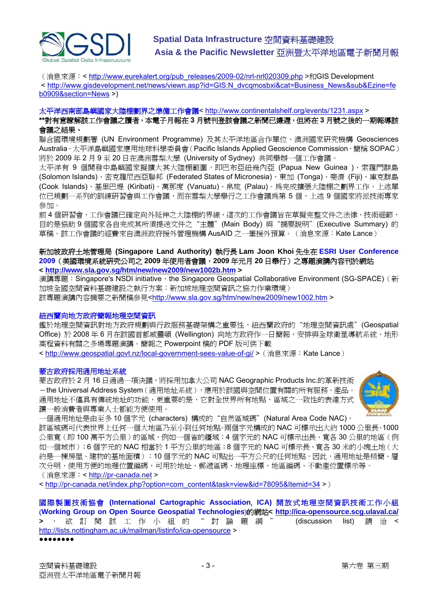

(消息來源:<[http://www.eurekalert.org/pub\\_releases/2009-02/nrl-nrl020309.php](http://www.eurekalert.org/pub_releases/2009-02/nrl-nrl020309.php) >和GIS Development < [http://www.gisdevelopment.net/news/viewn.asp?id=GIS:N\\_dvcqmosbxi&cat=Business\\_News&sub&Ezine=fe](http://www.gisdevelopment.net/news/viewn.asp?id=GIS:N_dvcqmosbxi&cat=Business_News&sub&Ezine=feb0909§ion=News) [b0909&section=News](http://www.gisdevelopment.net/news/viewn.asp?id=GIS:N_dvcqmosbxi&cat=Business_News&sub&Ezine=feb0909§ion=News) >)

#### 太平洋西南部島嶼國家大陸棚劃界之準備工作會議< <http://www.continentalshelf.org/events/1231.aspx> >

**\*\***對有意瞭解該工作會議之讀者,本電子月報在 **3** 月號刊登該會議之新聞已嫌遲,但將在 **3** 月號之後的一期報導該 會議之結果。

聯合國環境規劃署 (UN Environment Programme) 及其太平洋地區合作單位、澳洲國家研究機構 Geosciences Australia、太平洋島嶼國家應用地球科學委員會(Pacific Islands Applied Geoscience Commission,簡稱 SOPAC) 將於 2009 年 2 月 9 至 20 日在澳洲雪梨大學 (University of Sydney) 共同舉辦一個工作會議。

太平洋有 9 個開發中島嶼國家擬擴大其大陸棚範圍,即巴布亞紐幾內亞 (Papua New Guinea )、索羅門群島 (Solomon Islands)、密克羅尼西亞聯邦 (Federated States of Micronesia)、東加 (Tonga)、斐濟 (Fiji)、庫克群島 (Cook Islands)、基里巴堤 (Kiribati)、萬那度 (Vanuatu)、帛琉 (Palau)。為完成擴張大陸棚之劃界工作,上述單 位已規劃一系列的訓練研習會與工作會議,而在雪梨大學舉行之工作會議為第 5 個,上述 9 個國家將派技術專家 參加。

前 4 個研習會、工作會議已確定向外延伸之大陸棚的界線,這次的工作會議旨在草擬完整文件之法律、技術細節, 目的是協助 9 個國家各自完成其所須提送文件之"主體"(Main Body) 與"摘要說明"(Executive Summary) 的 草稿。該工作會議的經費來自澳洲政府援外管理機構 AusAID 之一筆援外預算。(消息來源: Kate Lance)

#### 新加坡政府土地管理局 **(Singapore Land Authority)** 執行長 **Lam Joon Khoi** 先生在 **ESRI User Conference 2009**(美國環境系統研究公司之 **2009** 年使用者會議,**2009** 年元月 **20** 日舉行)之專題演講內容刊於網站 **< <http://www.sla.gov.sg/htm/new/new2009/new1002b.htm>>**

演講專題: Singapore's NSDI initiative, the Singapore Geospatial Collaborative Environment (SG-SPACE) (新 加坡全國空間資料基礎建設之執行方案:新加坡地理空間資訊之協力作業環境) 該專題演講內容摘要之新聞稿參見<<http://www.sla.gov.sg/htm/new/new2009/new1002.htm>>

#### 紐西蘭向地方政府簡報地理空間資訊

鑑於地理空間資訊對地方政府規劃與行政服務基礎架構之重要性,紐西蘭政府的"地理空間資訊處"(Geospatial Office)於 2008年6月在該國首都威靈頓 (Wellington) 向地方政府作一日簡報,安排與全球衛星導航系統、地形 高程資料有關之多場專題演講。簡報之 Powerpoint 稿的 PDF 版可供下載

< <http://www.geospatial.govt.nz/local-government-sees-value-of-gi/> >(消息來源:Kate Lance)

#### 蒙古政府採用通用地址系統

蒙古政府於 2 月 16 日通過一項決議,將採用加拿大公司 NAC Geographic Products Inc.的革新技術  $-$ the Universal Address System (通用地址系統),應用於該國與空間位置有關的所有服務、產品。 通用地址不僅具有傳統地址的功能,更重要的是,它對全世界所有地點、區域之一致性的表達方式 讓一般消費者與專業人士都能方便使用。



一個通用地址是由至多 10 個字元 (characters) 構成的"自然區域碼"(Natural Area Code NAC), 該區域碼可代表世界上任何一個大地區乃至小到任何地點。兩個字元構成的 NAC 可標示出大約 1000 公里長、1000 公里寬(即 100 萬平方公里)的區域,例如一個省的疆域; 4個字元的 NAC 可標示出長、寬各 30 公里的地區(例 如一個城市);6 個字元的 NAC 相當於 1 平方公里的地區;8 個字元的 NAC 可標示長、寬各 30 米的小塊土地(大 約是一棟房屋、建物的基地面積);10個字元的 NAC 可點出一平方公尺的任何地點。因此,通用地址是精簡、層 次分明、使用方便的地理位置編碼,可用於地址、郵遞區碼、地理座標、地區編碼、不動產位置標示等。 (消息來源:< [http://pr-canada.net](http://pr-canada.net/) >

< [http://pr-canada.net/index.php?option=com\\_content&task=view&id=78095&Itemid=34](http://pr-canada.net/index.php?option=com_content&task=view&id=78095&Itemid=34) >)

國 際製 圖技術協會 **(International Cartographic Association**, **ICA)** 開 放式 地理 空間資訊技術工作小組 (**Working Group on Open Source Geospatial Technologies**)的網站**< <http://ica-opensource.scg.ulaval.ca/> >** , 欲 訂閱該 工作小 組的" 討論題 綱 " (discussion list) 請 洽 < <http://lists.nottingham.ac.uk/mailman/listinfo/ica-opensource>> ●●●●●●●●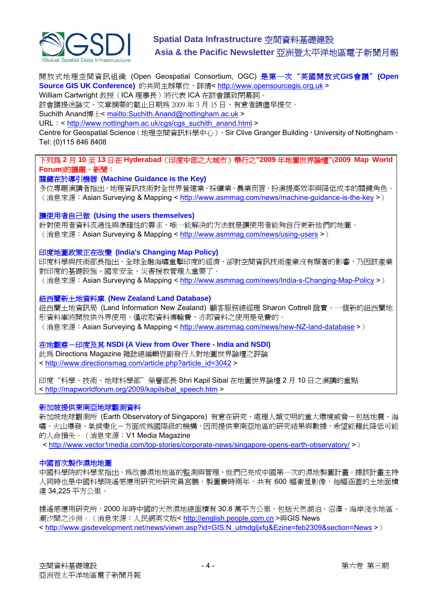

開放式地理空間資訊組織 (Open Geospatial Consortium, OGC) 是第一次"英國開放式**GIS**會議"**(Open Source GIS UK Conference)** 的共同主辦單位,詳情< [http://www.opensourcegis.org.uk](http://www.opensourcegis.org.uk/) > William Cartwright 教授(ICA 理事長)將代表 ICA 在該會議致閉幕詞。

該會議提送論文、文章摘要的截止日期為 2009 年 3 月 15 日,有意者請儘早提交。

Suchith Anand博士< <mailto:Suchith.Anand@nottingham.ac.uk> >

URL: < [http://www.nottingham.ac.uk/cgs/cgs\\_suchith\\_anand.html](http://www.nottingham.ac.uk/cgs/cgs_suchith_anand.html) >

Centre for Geospatial Science (地理空間資訊科學中心), Sir Clive Granger Building, University of Nottingham, Tel: (0)115 846 8408

下列為 **2** 月 **10** 至 **13** 日在 **Hyderabad**(印度中部之大城市)舉行之**"2009** 年地圖世界論壇**"**(**2009 Map World Forum**)的議題、新聞:

#### 關鍵在於導引機器 **(Machine Guidance is the Key)**

多位專題演講者指出,地理資訊技術對全世界營建業、採礦業、農業而言,扮演提高效率與降低成本的關鍵角色。 (消息來源: Asian Surveving & Mapping < <http://www.asmmag.com/news/machine-guidance-is-the-key> >)

#### 讓使用者自己做 **(Using the users themselves)**

針對使用者資料流通性與準確性的需求,唯一能解決的方法就是讓使用者能夠自行更新他們的地圖。 (消息來源: Asian Surveying & Mapping < <http://www.asmmag.com/news/using-users> >)

#### 印度地圖政策正在改變 **(India's Changing Map Policy)**

印度科學與技術部長指出,全球全融海嘯重擊印度的經濟,卻對空間資訊技術產業沒有顯著的影響,乃因該產業 對印度的基礎設施、國家安全、災害援救管理太重要了。

(消息來源:Asian Surveying & Mapping < <http://www.asmmag.com/news/India-s-Changing-Map-Policy> >)

#### 紐西蘭新土地資料庫 **(New Zealand Land Database)**

紐西蘭土地資訊局 (Land Information New Zealand) 顧客服務總經理 Sharon Cottrell 證實, 一個新的紐西蘭地 形資料庫將開放供外界使用,僅收取資料傳輸費,亦即資料之使用是免費的。 (消息來源:Asian Surveying & Mapping < <http://www.asmmag.com/news/new-NZ-land-database> >)

#### 在地觀察-印度及其 **NSDI (A View from Over There - India and NSDI)**

此為 Directions Magazine 雜誌總編輯暨副發行人對地圖世界論壇之評論 < [http://www.directionsmag.com/article.php?article\\_id=3042](http://www.directionsmag.com/article.php?article_id=3042) >

印度"科學、技術、地球科學部"榮譽部長 Shri Kapil Sibal 在地圖世界論壇 2 月 10 日之演講的重點 < [http://mapworldforum.org/2009/kapilsibal\\_speech.htm](http://mapworldforum.org/2009/kapilsibal_speech.htm) >

#### 新加坡提供東南亞地球觀測資料

新加坡地球觀測所 (Earth Observatory of Singapore) 有意在研究、處理人類文明的重大環境威脅-包括地震、海 嘯、火山爆發、氣候變化-方面成為國際級的機構,因而提供東南亞地區的研究結果與數據,希望能藉此降低可能 的人命損失。(消息來源:V1 Media Magazine

< <http://www.vector1media.com/top-stories/corporate-news/singapore-opens-earth-observatory/> >)

#### 中國首次製作濕地地圖

中國科學院的科學家指出,為改善濕地地區的監測與管理,他們已完成中國第一次的濕地製圖計畫。據該計畫主持 人同時也是中國科學院遙感應用研究所研究員宮鵬,製圖費時兩年,共有 600 幅衛星影像,每幅涵蓋的土地面積 達 34,225 平方公里。

據遙感應用研究所,2000 年時中國的天然濕地總面積有 30.8 萬平方公里,包括天然湖泊、沼澤、海岸淺水地區、 潮汐間之沙洲。(消息來源:人民網英文版<http://english.people.com.cn>與GIS News < [http://www.gisdevelopment.net/news/viewn.asp?id=GIS:N\\_utmdgljxfq&Ezine=feb2309&section=News](http://www.gisdevelopment.net/news/viewn.asp?id=GIS:N_utmdgljxfq&Ezine=feb2309§ion=News) >)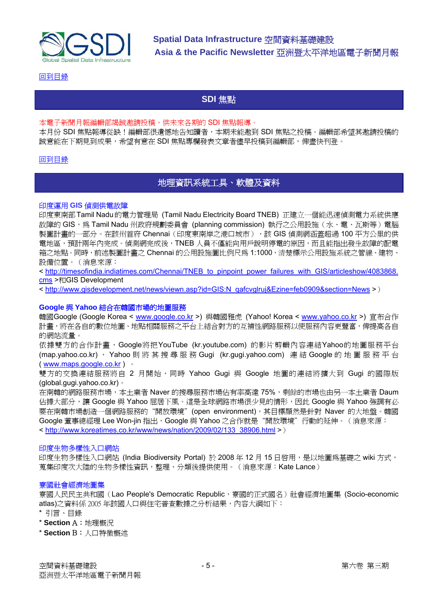<span id="page-4-0"></span>

[回到目錄](#page-0-0)

### **SDI** 焦點

#### 本電子新聞月報編輯部竭誠邀請投稿,供未來各期的 SDI 焦點報導。

本月份 SDI 焦點報導從缺!編輯部很遺憾地告知讀者,本期未能邀到 SDI 焦點之投稿。編輯部希望其邀請投稿的 誠意能在下期見到成果,希望有意在 SDI 焦點專欄發表文章者儘早投稿到編輯部,俾盡快刊登。

#### [回到目錄](#page-0-0)

### 地理資訊系統工具、軟體及資料

#### 印度運用 **GIS** 偵測供電故障

印度東南部Tamil Nadu的電力管理局 (Tamil Nadu Electricity Board TNEB) 正建立一個能迅速偵測電力系統供應 故障的 GIS,為 Tamil Nadu 州政府規劃委員會 (planning commission) 執行之公用設施 (水、電、瓦斯等) 電腦 製圖計畫的一部分。在該州首府 Chennai (印度東南岸之港口城市), 該 GIS 偵測網涵蓋超過 100 平方公里的供 電地區,預計兩年內完成。偵測網完成後,TNEB 人員不僅能向用戶說明停電的原因,而且能指出發生故障的配電 箱之地點。同時,前述製圖計畫之 Chennai 的公用設施圖比例尺為 1:1000,清楚標示公用設施系統之管線、建物、 設備位置。(消息來源:

< [http://timesofindia.indiatimes.com/Chennai/TNEB\\_to\\_pinpoint\\_power\\_failures\\_with\\_GIS/articleshow/4083868.](http://timesofindia.indiatimes.com/Chennai/TNEB_to_pinpoint_power_failures_with_GIS/articleshow/4083868.cms) [cms](http://timesofindia.indiatimes.com/Chennai/TNEB_to_pinpoint_power_failures_with_GIS/articleshow/4083868.cms) >和GIS Development

< [http://www.gisdevelopment.net/news/viewn.asp?id=GIS:N\\_qafcvglruj&Ezine=feb0909&section=News](http://www.gisdevelopment.net/news/viewn.asp?id=GIS:N_qafcvglruj&Ezine=feb0909§ion=News) >)

#### **Google** 與 **Yahoo** 結合在韓國市場的地圖服務

韓國Google (Google Korea < [www.google.co.kr](http://www.google.co.kr/) >) 與韓國雅虎 (Yahoo! Korea < [www.yahoo.co.kr](http://www.yahoo.co.kr/) >) 宣布合作 計畫,將在各自的數位地圖、地點相關服務之平台上結合對方的互補性網路服務以使服務內容更豐富,俾提高各自 的網站流量。

依據雙方的合作計畫,Google將把YouTube (kr.youtube.com) 的影片剪輯內容連結Yahoo的地圖服務平台 (map.yahoo.co.kr) , Yahoo 則將其搜尋服務 Gugi (kr.gugi.yahoo.com) 連 結 Google 的地圖服務平台 ( [www.maps.google.co.kr](http://www.maps.google.co.kr/) ) 。

雙方的交換連結服務將自 2 月開始, 同時 Yahoo Gugi 與 Google 地圖的連結將擴大到 Gugi 的國際版 (global.gugi.yahoo.co.kr)。

在南韓的網路服務市場,本土業者 Naver 的搜尋服務市場佔有率高達 75%,剩餘的市場也由另一本土業者 Daum 佔據大部分,讓 Google 與 Yahoo 屈居下風。這是全球網路市場很少見的情形,因此 Google 與 Yahoo 強調有必 要在南韓市場創造一個網路服務的"開放環境"(open environment), 其目標顯然是針對 Naver 的大地盤。韓國 Google 董事總經理 Lee Won-jin 指出, Google 與 Yahoo 之合作就是"開放環境"行動的延伸。(消息來源: < [http://www.koreatimes.co.kr/www/news/nation/2009/02/133\\_38906.html](http://www.koreatimes.co.kr/www/news/nation/2009/02/133_38906.html) >)

#### 印度生物多樣性入口網站

印度生物多樣性入口網站 (India Biodiversity Portal) 於 2008 年 12 月 15 日啓用,是以地圖爲基礎之 wiki 方式, 蒐集印度次大陸的生物多樣性資訊,整理、分類後提供使用。(消息來源:Kate Lance)

#### 寮國社會經濟地圖集

寮國人民民主共和國(Lao People's Democratic Republic,賽國的正式國名)社會經濟地圖集 (Socio-economic atlas)之資料係 2005 年該國人口與住宅普查數據之分析結果,內容大綱如下:

- \* 引言、目錄
- \* **Section** A:地理概況
- \* **Section** B:人口特徵概述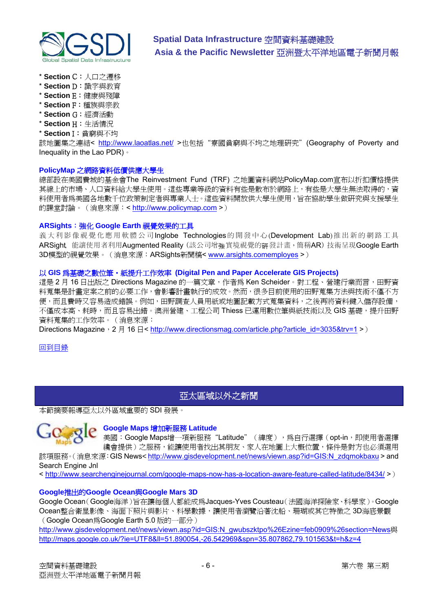<span id="page-5-0"></span>

- \* **Section** C:人口之遷移
- \* **Section** D:識字與教育
- \* **Section** E:健康與殘障
- \* **Section** F:種族與宗教
- \* **Section** G:經濟活動
- \* **Section** H:生活情況
- \* **Section** I:貧窮與不均

該地圖集之連結< <http://www.laoatlas.net/>>也包括"寮國貧窮與不均之地理研究"(Geography of Poverty and Inequality in the Lao PDR)。

#### **PolicyMap** 之網路資料低價供應大學生

總部設在美國費城的基金會The Reinvestment Fund (TRF) 之地圖資料網站PolicyMap.com宣布以折扣價格提供 其線上的市場、人口資料給大學生使用。這些專業等級的資料有些是散布於網路上,有些是大學生無法取得的,資 料使用者為美國各地數千位政策制定者與專業人士。這些資料開放供大學生使用,旨在協助學生做研究與支援學生 的課堂討論。(消息來源:< [http://www.policymap.com](http://www.policymap.com/) >)

#### **ARSights**:強化 **Google Earth** 視覺效果的工具

義大利影像視覺化應用軟體公司Inglobe Technologies的開發中心(Development Lab)推出新的網路工具 ARSight, 能讓使用者利用Augmented Reality (該公司增強實境視覺的研發計畫,簡稱AR)技術呈現Google Earth 3D模型的視覺效果。(消息來源:ARSights新聞稿< [www.arsights.comemployes](http://www.arsights.comemployes/) >)

#### 以 **GIS** 為基礎之數位筆‧紙提升工作效率 **(Digital Pen and Paper Accelerate GIS Projects)**

這是 2 月 16 日出版之 Directions Magazine 的一篇文章, 作者為 Ken Scheider。對工程、營建行業而言, 田野資 料蒐集是計畫定案之前的必要工作,會影響計畫執行的成效。然而,很多目前使用的田野蒐集方法與技術不僅不方 便,而且費時又容易造成錯誤。例如,田野調查人員用紙或地圖記載方式蒐集資料,之後再將資料鍵入儲存設備, 不僅成本高、耗時,而且容易出錯。澳洲營建、工程公司 Thiess 已運用數位筆與紙技術以及 GIS 基礎,提升田野 資料蒐集的工作效率。(消息來源:

Directions Magazine, 2 月 16 日< [http://www.directionsmag.com/article.php?article\\_id=3035&trv=1](http://www.directionsmag.com/article.php?article_id=3035&trv=1) >)

[回到目錄](#page-0-0)

### 亞太區域以外之新聞

本節摘要報導亞太以外區域重要的 SDI 發展。



#### **Google Maps** 增加新服務 **Latitude**

美國: Google Maps增一項新服務"Latitude" (緯度),為自行選擇(opt-in,即使用者選擇 纔會提供)之服務,能讓使用者找出其朋友、家人在地圖上大概位置,條件是對方也必須選用

該項服務。(消息來源:GIS News*<* [http://www.gisdevelopment.net/news/viewn.asp?id=GIS:N\\_zdqmokbaxu](http://www.gisdevelopment.net/news/viewn.asp?id=GIS:N_zdqmokbaxu) > and Search Engine Jnl

< <http://www.searchenginejournal.com/google-maps-now-has-a-location-aware-feature-called-latitude/8434/>>)

### **Google**推出的**Google Ocean**與**[Google Mars 3D](http://www.gisdevelopment.net/news/viewn.asp?id=GIS:N_mbhepaxkdq%26Ezine=feb0909%26section=News)**

Google Ocean(Google海洋)旨在讓每個人都能成為Jacques-Yves Cousteau(法國海洋探險家、科學家)。Google Ocean整合衛星影像、海面下照片與影片、科學數據,讓使用者瀏覽沿著沈船、珊瑚或其它特徵之 3D海底景觀 (Google Ocean為Google Earth 5.0 版的一部分)

[http://www.gisdevelopment.net/news/viewn.asp?id=GIS:N\\_gwubszktpo%26Ezine=feb0909%26section=News](http://www.gisdevelopment.net/news/viewn.asp?id=GIS:N_gwubszktpo%26Ezine=feb0909%26section=News)與 <http://maps.google.co.uk/?ie=UTF8&ll=51.890054,-26.542969&spn=35.807862,79.101563&t=h&z=4>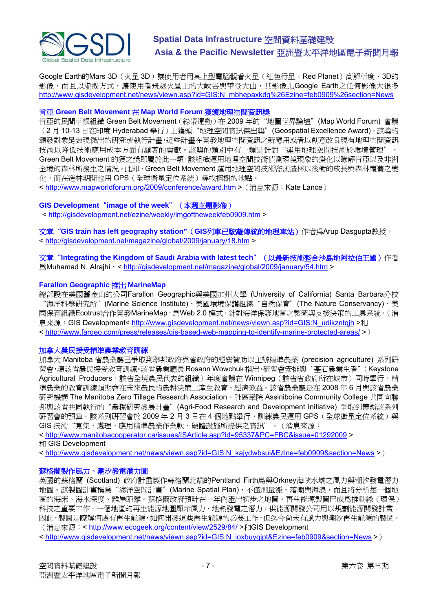

Google Earth的Mars 3D (火星 3D)讓使用者用桌上型電腦觀看火星(紅色行星, Red Planet)高解析度、3D的 影像,而且以虛擬方式,讓使用者飛越火星上的大峽谷與攀登大山,其影像比Google Earth之任何影像大很多 [http://www.gisdevelopment.net/news/viewn.asp?id=GIS:N\\_mbhepaxkdq%26Ezine=feb0909%26section=News](http://www.gisdevelopment.net/news/viewn.asp?id=GIS:N_mbhepaxkdq%26Ezine=feb0909%26section=News)

#### 肯亞 **Green Belt Movement** 在 **Map World Forum** 獲頒地理空間資訊獎

肯亞的民間草根組織 Green Belt Movement(綠帶運動)在 2009 年的"地圖世界論壇"(Map World Forum) 會議 (2 月 10-13 日在印度 Hyderabad 舉行)上獲頒"地理空間資訊傑出獎"(Geospatial Excellence Award)。該獎的 頒發對象是表現傑出的研究或執行計畫,這些計畫在開發地理空間資訊之新應用或者以創意改良現有地理空間資訊 技術以降低技術應用成本方面有顯著的貢獻。該獎的類別中有一類是針對"運用地理空間技術於環境管理", Green Belt Movement 的獲之獎即屬於此一類,該組織運用地理空間技術偵測環境現象的變化以瞭解肯亞以及非洲 全境的森林所發生之情況。此即,Green Belt Movement 運用地理空間技術監測造林以後樹的成長與森林覆蓋之變 化,而在造林期間也用 GPS(全球衛星定位系統)尋找植樹的地點。

< <http://www.mapworldforum.org/2009/conference/award.htm>>(消息來源:Kate Lance)

### **GIS Development**"**image of the week**"(本週主題影像)

< <http://gisdevelopment.net/ezine/weekly/imgoftheweekfeb0909.htm>>

文章"**GIS train has left geography station"**(**GIS**列車已駛離傳統的地理車站)作者為Arup Dasgupta教授, < <http://gisdevelopment.net/magazine/global/2009/january/18.htm>>

文章 "Integrating the Kingdom of Saudi Arabia with latest tech" (以最新技術整合沙島地阿拉伯王國)作者 **爲Muhamad N. Alraihi, <<http://gisdevelopment.net/magazine/global/2009/january/54.htm>>** 

#### **Farallon Geographic** 推出 **MarineMap**

總部設在美國舊金山的公司Farallon Geographic與美國加州大學 (University of California) Santa Barbara分校 "海洋科學研究所"(Marine Science Institute)、美國環境保護組織"自然保育"(The Nature Conservancy)、美 國保育組織Ecotrust合作開發MarineMap,為Web 2.0 模式、針對海洋保護地區之製圖與支援決策的工具系統。(消 息來源:GIS Development< [http://www.gisdevelopment.net/news/viewn.asp?id=GIS:N\\_udikzntqjh](http://www.gisdevelopment.net/news/viewn.asp?id=GIS:N_udikzntqjh) >和 < <http://www.fargeo.com/press/releases/gis-based-web-mapping-to-identify-marine-protected-areas/>>)

#### 加拿大農民接受精準農業教育訓練

加拿大 Manitoba 省農業廳已爭取到聯邦政府與省政府的經費贊助以主辦精準農業 (precision agriculture) 系列研 習會,讓該省農民接受教育訓練。該省農業廳長 Rosann Wowchuk 指出,研習會安排與"基石農業生者"(Keystone Agricultural Producers, 該省全境農民代表的組織)年度會議在 Winnipeg (該省省政府所在城市)同時舉行,精 準農業的教育訓練預期會在未來農民的農耕決策上產生教育、經濟效益。該省農業廳是在 2008 年 6 月與該省農業 研究機構 The Manitoba Zero Tillage Research Association、社區學院 Assiniboine Community College 共同向聯 邦與該省共同執行的"農糧研究發展計畫"(Agri-Food Research and Development Initiative) 爭取到籌辦該系列 研習會的預算。該系列研習會於 2009 年 2 月 3 日在 4 個地點舉行,訓練農民運用 GPS (全球衛星定位系統)與 GIS 技術"蒐集、處理、應用精準農業作業軟、硬體設施所提供之資訊"。(消息來源:

< <http://www.manitobacooperator.ca/issues/ISArticle.asp?id=95337&PC=FBC&issue=01292009>> 和 GIS Development

< [http://www.gisdevelopment.net/news/viewn.asp?id=GIS:N\\_kajydwbsui&Ezine=feb0909&section=News](http://www.gisdevelopment.net/news/viewn.asp?id=GIS:N_kajydwbsui&Ezine=feb0909§ion=News) >)

#### 蘇格蘭製作風力、潮汐發電潛力圖

英國的蘇格蘭 (Scotland) 政府計畫製作蘇格蘭北端的Pentland Firth島與Orkney海峽水域之風力與潮汐發電潛力 地圖。該製圖計畫稱為"海洋空間計畫"(Marine Spatial Plan),不僅測量漲、落潮與海浪,而且將分析每一個地 區的海床、海水深度、離岸距離。蘇格蘭政府預計在一年內產出初步之地圖。再生能源製圖已成為推動綠(環保) 科技之重要工作。一個地區的再生能源地圖顯示風力、地熱發電之潛力,供能源開發公司用以規劃能源開發計畫。 因此,製圖是瞭解何處有再生能源,如何開發這些再生能源的必要工作,但迄今尚未有風力與潮汐再生能源的製圖。 (消息來源: < <http://www.ecogeek.org/content/view/2529/84/> >和GIS Development

< [http://www.gisdevelopment.net/news/viewn.asp?id=GIS:N\\_ioxbuyqjpt&Ezine=feb0909&section=News](http://www.gisdevelopment.net/news/viewn.asp?id=GIS:N_ioxbuyqjpt&Ezine=feb0909§ion=News) >)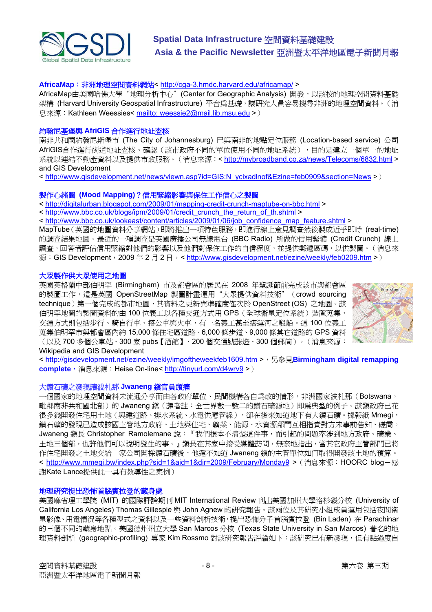

#### **AfricaMap**:非洲地理空間資料網站<<http://cga-3.hmdc.harvard.edu/africamap/>>

AfricaMap由美國哈佛大學"地理分析中心"(Center for Geographic Analysis) 開發,以該校的地理空間資料基礎 架構 (Harvard University Geospatial Infrastructure) 平台為基礎,讓研究人員容易搜尋非洲的地理空間資料。(消 息來源:Kathleen Weessies< [mailto: weessie2@mail.lib.msu.edu](mailto:weessie2@mail.lib.msu.edu) >)

#### 約翰尼基堡與 **AfriGIS** 合作進行地址查核

南非共和國約翰尼斯堡市 (The City of Johannesburg) 已與南非的地點定位服務 (Location-based service) 公司 AfriGIS合作進行街道地址杳核、確認(該市政府不同的單位使用不同的地址系統),目的是建立一個單一的地址 系統以連結不動產資料以及提供市政服務。(消息來源:<<http://mybroadband.co.za/news/Telecoms/6832.html>> and GIS Development

< [http://www.gisdevelopment.net/news/viewn.asp?id=GIS:N\\_ycixadlnof&Ezine=feb0909&section=News](http://www.gisdevelopment.net/news/viewn.asp?id=GIS:N_ycixadlnof&Ezine=feb0909§ion=News) >)

#### 製作心緒圖 **(Mood Mapping)**?信用緊縮影響與保住工作信心之製圖

< <http://digitalurban.blogspot.com/2009/01/mapping-credit-crunch-maptube-on-bbc.html>>

< [http://www.bbc.co.uk/blogs/ipm/2009/01/credit\\_crunch\\_the\\_return\\_of\\_th.shtml](http://www.bbc.co.uk/blogs/ipm/2009/01/credit_crunch_the_return_of_th.shtml) >

< [http://www.bbc.co.uk/lookeast/content/articles/2009/01/06/job\\_confidence\\_map\\_feature.shtml](http://www.bbc.co.uk/lookeast/content/articles/2009/01/06/job_confidence_map_feature.shtml) >

MapTube(英國的地圖資料分享網站)即將推出一項特色服務,即進行線上意見調查然後製成近乎即時 (real-time) 的調查結果地圖。最近的一項調查是英國廣播公司無線電台 (BBC Radio) 所做的信用緊縮 (Credit Crunch) 線上 調查,回答者評估信用緊縮對他們的影響以及他們對保住工作的自信程度,並提供郵遞區碼,以供製圖。(消息來 源: GIS Development, 2009 年 2 月 2 日, <<http://www.gisdevelopment.net/ezine/weekly/feb0209.htm>>)

#### 大眾製作供大眾使用之地圖

英國英格蘭中部伯明罕 (Birmingham) 市及都會區的居民在 2008 年聖誕節前完成該市與都會區 的製圖工作,這是英國 OpenStreetMap 製圖計畫運用"大眾提供資料技術" (crowd sourcing technique)第一個完成的都市地圖,其資料之更新與準確度僅次於 OpenStreet (OS) 之地圖。該 伯明罕地圖的製圖資料的由 100 位義工以各種交通方式用 GPS (全球衛星定位系統)裝置蒐集, 交通方式則包括步行、騎自行車、搭公車與火車,有一名義工甚至搭運河之駁船。這 100 位義工 蒐集伯明罕市與都會區內約 15,000 條住宅區道路、6,000 條步道、9,000 條其它道路的 GPS 資料 (以及 700 多個公車站、300 家 pubs【酒館】、200 個交通號誌燈、300 個郵筒)。(消息來源:



#### Wikipedia and GIS Development

< <http://gisdevelopment.net/ezine/weekly/imgoftheweekfeb1609.htm> >,另參見**Birmingham digital remapping complete**, 消息來源: Heise On-line<<http://tinyurl.com/d4wrv9> >)

#### 大鑽石礦之發現讓波札那 **Jwaneng** 鎮官員頭痛

一個國家的地理空間資料未流通分享而由各政府單位、民間機構各自為政的情形,非洲國家波札那(Botswana, 毗鄰南非共和國北部)的 Jwaneng 鎮(譯者註:全世界數一數二的鑽石礦源地)即為典型的例子。該鎮政府已花 很多錢開發住宅用土地(興建道路、排水系統、水電供應管線),卻在後來知道地下有大鑽石礦。據報紙 Mmegi, 鑽石礦的發現已造成該國主管地方政府、土地與住宅、礦業、能源、水資源部門互相指責對方未事前告知、磋商。 Jwaneng 鎮長 Christopher Ramolemane 說:『我們根本不清楚這件事,而引起的問題牽涉到地方政府、礦業、 土地三個部,也許他們可以說明發生的事。」鎮長在其家中接受媒體訪問,無奈地指出,當其它政府主管部門已將 作住宅開發之土地交給一家公司開採鑽石礦後,他還不知道 Jwaneng 鎮的主管單位如何取得開發該土地的預算。 < <http://www.mmegi.bw/index.php?sid=1&aid=1&dir=2009/February/Monday9>> (消息來源: HOORC blog-感 謝Kate Lance提供此一具有教導性之案例)

#### 地理研究提出恐怖首腦賓拉登的藏身處

美國麻省理工學院 (MIT) 的國際評論期刊 MIT International Review 刊出美國加州大學洛杉磯分校 (University of California Los Angeles) Thomas Gillespie 與 John Agnew 的研究報告。該兩位及其研究小組成員運用包括夜間衛 星影像、用電情況等各種型式之資料以及一些資料剖析技術,提出恐怖分子首腦賓拉登 (Bin Laden) 在 Parachinar 的三個不同的藏身地點。美國德州州立大學 San Marcos 分校 (Texas State University in San Marcos) 著名的地 理資料剖析 (geographic-profiling) 專家 Kim Rossmo 對該研究報告評論如下:該研究已有新發現, 但有點過度自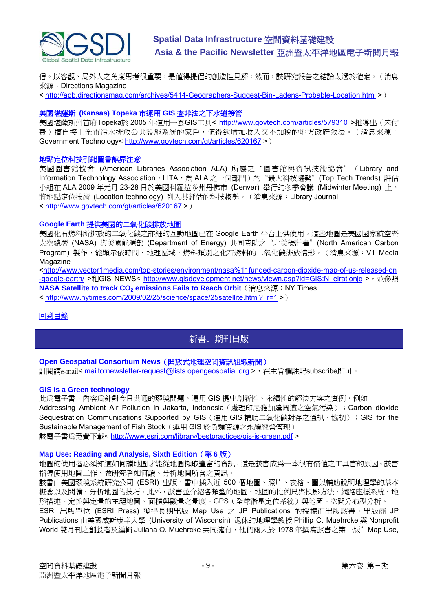<span id="page-8-0"></span>

信。以客觀、局外人之角度思考很重要,是値得提倡的創造性見解。然而,該研究報告之結論太過於確定。(消息 來源:Directions Magazine

< <http://apb.directionsmag.com/archives/5414-Geographers-Suggest-Bin-Ladens-Probable-Location.html>>)

#### 美國堪薩斯 **(Kansas) Topeka** 市運用 **GIS** 查非法之下水道接管

美國堪薩斯州首府Topeka於 2005 年運用一套GIS工具< <http://www.govtech.com/articles/579310>>推導出(未付 費)擅自接上全市污水排放公共設施系統的家戶,值得欲增加收入又不加稅的地方政府效法。(消息來源: Government Technology<<http://www.govtech.com/gt/articles/620167>>)

#### 地點定位科技引起圖書館界注意

美國圖書館協會 (American Libraries Association ALA) 所屬之"圖書館與資訊技術協會"(Library and Information Technology Association, LITA, 為 ALA 之一個部門)的"最大科技趨勢"(Top Tech Trends) 評估 小組在 ALA 2009 年元月 23-28 日於美國科羅拉多州丹佛市 (Denver) 舉行的冬季會議 (Midwinter Meeting) 上, 將地點定位技術 (Location technology) 列入其評估的科技趨勢。(消息來源:Library Journal < [http://www.govtech.com/gt/articles/620167](http://www.libraryjournal.com/article/CA6632352.html) >)

#### **Google Earth** 提供美國的二氧化碳排放地圖

美國化石燃料所排放的二氧化碳之詳細的互動地圖已在 Google Earth 平台上供使用。這些地圖是美國國家航空暨 太空總署 (NASA) 與美國能源部 (Department of Energy) 共同資助之"北美碳計畫" (North American Carbon Program) 製作,能顯示依時間、地理區域、燃料類別之化石燃料的二氧化碳排放情形。(消息來源:V1 Media Magazine

<[http://www.vector1media.com/top-stories/environment/nasa%11funded-carbon-dioxide-map-of-us-released-on](http://www.vector1media.com/top-stories/environment/nasa%11funded-carbon-dioxide-map-of-us-released-on-google-earth/) [-google-earth/](http://www.vector1media.com/top-stories/environment/nasa%11funded-carbon-dioxide-map-of-us-released-on-google-earth/) >和GIS NEWS< [http://www.gisdevelopment.net/news/viewn.asp?id=GIS:N\\_eiratlonjc](http://www.gisdevelopment.net/news/viewn.asp?id=GIS:N_eiratlonjc) >, 並參照 **NASA Satellite to track CO<sub>2</sub> emissions Fails to Reach Orbit** (消息來源: NY Times)

< [http://www.nytimes.com/2009/02/25/science/space/25satellite.html?\\_r=1](http://www.nytimes.com/2009/02/25/science/space/25satellite.html?_r=1) >)

#### [回到目錄](#page-0-0)

### 新書、期刊出版

#### **Open Geospatial Consortium News**(開放式地理空間資訊組織新聞)

訂閱請e-mail<<mailto:newsletter-request@lists.opengeospatial.org> >,在主旨欄註記subscribe即可。

#### **GIS is a Green technology**

此為電子書,內容為針對今日共通的環境問題,運用 GIS 提出創新性、永續性的解決方案之實例,例如 Addressing Ambient Air Pollution in Jakarta, Indonesia (處理印尼雅加達周遭之空氣污染); Carbon dioxide Sequestration Communications Supported by GIS (運用 GIS 輔助二氧化碳封存之通訊、協調); GIS for the Sustainable Management of Fish Stock (運用 GIS 於魚類資源之永續經營管理) 該電子書為免費下載< <http://www.esri.com/library/bestpractices/gis-is-green.pdf> >

#### **Map Use: Reading and Analysis, Sixth Edition**(第 **6** 版)

地圖的使用者必須知道如何讀地圖才能從地圖擷取豐富的資訊,這是該書成為一本很有價值之工具書的原因。該書 指導使用地圖工作、做研究者如何讀、分析地圖所含之資訊。

該書由美國環境系統研究公司 (ESRI) 出版,書中插入近 500 個地圖、照片、表格、圖以輔助說明地理學的基本 概念以及閱讀、分析地圖的技巧。此外,該書並介紹各類型的地圖、地圖的比例尺與投影方法、網路座標系統、地 形描述、定性與定量的主題地圖、面積與數量之量度、GPS(全球衛星定位系統)與地圖、空間分布型分析。

ESRI 出版單位 (ESRI Press) 獲得長期出版 Map Use 之 JP Publications 的授權而出版該書。出版商 JP Publications 由美國威斯康辛大學 (University of Wisconsin) 退休的地理學教授 Phillip C. Muehrcke 與 Nonprofit World 雙月刊之創設者及編輯 Juliana O. Muehrcke 共同擁有, 他們兩人於 1978 年撰寫該書之第一版"Map Use,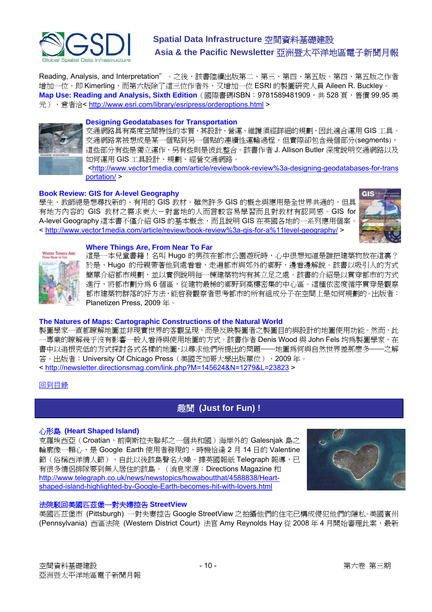<span id="page-9-0"></span>

Reading, Analysis, and Interpretation"。之後,該書陸續出版第二、第三、第四、第五版。第四、第五版之作者 增加一位,即 Kimerling,而第六版除了這三位作者外,又增加一位 ESRI 的製圖研究人員 Aileen R. Buckley。 Map Use: Reading and Analysis, Sixth Edition (國際書碼ISBN: 9781589481909,共 528 頁,售價 99.95 美 元), 意者洽< <http://www.esri.com/library/esripress/orderoptions.html> >



#### **Designing Geodatabases for Transportation**

交通網路具有高度空間特性的本質,其設計、營運、維護須經詳細的規劃,因此適合運用 GIS 工具。 交通網路常被想成是某一個點到另一個點的連續性運輸過程,但實際卻包含幾個部分(segments), 這些部分有些是獨立運作,另有些則是彼此整合。該書作者 J. Allison Butler 深度說明交通網路以及 如何運用 GIS 工具設計、規劃、經營交通網路。

[<http://www.vector1media.com/article/review/book-review%3a-designing-geodatabases-for-trans](http://www.vector1media.com/article/review/book-review%3a-designing-geodatabases-for-transportation/) [portation/](http://www.vector1media.com/article/review/book-review%3a-designing-geodatabases-for-transportation/) >

#### **Book Review: GIS for A-level Geography**

學生、教師總是想尋找新的、有用的 GIS 教材。雖然許多 GIS 的概念與應用是全世界共通的, 但具 有地方內容的 GIS 教材之需求更大-對當地的人而言較容易學習而且對教材有認同感。GIS for A-level Geography 這本書不僅介紹 GIS 的基本概念,而且說明 GIS 在英國各地的一系列應用個案。 < <http://www.vector1media.com/article/review/book-review%3a-gis-for-a%11level-geography/> >





#### **Where Things Are, From Near To Far**

這是一本兒童書籍!名叫 Hugo 的男孩在都市公園遊玩時,心中很想知道是誰把建築物放在這裏? 於是,Hugo 的母親帶著他到處看看,走遍都市與郊外的鄉野,邊看邊解說。該書以吸引人的方式 簡單介紹都市規劃,並以實例說明每一棟建築物均有其立足之處。該書的介紹是以貫穿都市的方式 進行,將都市劃分為6個區,從建物最稀的鄉野到高樓密集的中心區。這種依密度循序貫穿是觀察 都市建築物群落的好方法,能啟發觀察者思考都市的所有組成分子在空間上是如何規劃的。出版者: Planetizen Press, 2009 年。

#### **The Natures of Maps: Cartographic Constructions of the Natural World**

製圖學家一直都瞭解地圖並非現實世界的客觀呈現,而是反映製圖者之製圖目的與設計的地圖使用功能。然而,此 一專業的瞭解幾乎沒有影響一般人看待與使用地圖的方式。該書作者 Denis Wood 與 John Fels 均為製圖學家,在 書中以追根究低的方式探討各式各樣的地圖,以尋求他們所提出的問題——地圖爲何與自然世界差那麼多——之解 答。出版者: University Of Chicago Press(美國芝加哥大學出版單位), 2009年。 < <http://newsletter.directionsmag.com/link.php?M=145624&N=1279&L=23823> >

#### [回到目錄](#page-0-0)

### 趣聞 **(Just for Fun) !**

#### 心形島 **[\(Heart Shaped Island](http://www.telegraph.co.uk/news/newstopics/howaboutthat/4588838/Heart-shaped-island-highlighted-by-Google-Earth-becomes-hit-with-lovers.html))**

京羅埃西亞(Croatian,前南斯拉夫聯邦之一個共和國)海岸外的 Galesnjak 島之 輪廓像一顆心,是 Google Earth 使用者發現的,時機恰逢 2月14日的 Valentine 節(俗稱西洋情人節),自此以後該島聲名大噪。據英國報紙 Telegraph 報導,已 有很多情侶排隊要到無人居住的該島。(消息來源:Directions Magazine 和 [http://www.telegraph.co.uk/news/newstopics/howaboutthat/4588838/Heart](http://www.telegraph.co.uk/news/newstopics/howaboutthat/4588838/Heart-shaped-island-highlighted-by-Google-Earth-becomes-hit-with-lovers.html)shaped-island-highlighted-by-Google-Earth-becomes-hit-with-lovers.html



#### 法院駁回美國匹茲堡一對夫婦控告 **StreetView**

美國匹茲堡市 (Pittsburgh) 一對夫妻控告 Google StreetView 之拍攝他們的住宅已構成侵犯他們的隱私。美國賓州 (Pennsylvania) 西區法院 (Western District Court) 法官 Amy Reynolds Hay 從 2008 年 4 月開始審理此案,最新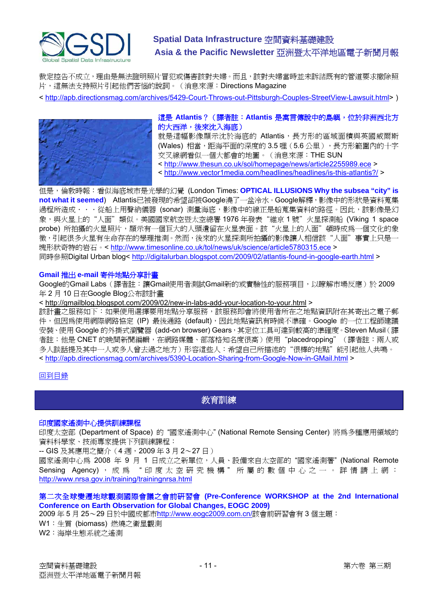<span id="page-10-0"></span>

裁定控告不成立,理由是無法證明照片冒犯或傷害該對夫婦。而且,該對夫婦當時並未訴諸既有的管道要求撤除照 片,這無法支持照片引起他們苦惱的說詞。(消息來源:Directions Magazine

< <http://apb.directionsmag.com/archives/5429-Court-Throws-out-Pittsburgh-Couples-StreetView-Lawsuit.html>>)



這是 **Atlantis**?(譯者註:**Atlantis** 是寓言傳說中的島嶼,位於非洲西北方 的大西洋,後來沈入海底)

就是這幅影像顯示沈於海底的 Atlantis,長方形的區域面積與英國威爾斯 (Wales)相當,距海平面的深度的 3.5 哩 (5.6 公里),長方形範圍內的十字 交叉線網看似一個大都會的地圖。(消息來源:THE SUN

<<http://www.thesun.co.uk/sol/homepage/news/article2255989.ece> >

<<http://www.vector1media.com/headlines/headlines/is-this-atlantis?/>>

但是,倫敦時報:看似海底城市是光學的幻覺 (London Times: **OPTICAL ILLUSIONS Why the subsea "city" is not what it seemed**) Atlantis已被發現的希望卻被Google澆了一盆冷水。Google解釋,影像中的形狀是資料蒐集 過程所造成.....從船上用聲納儀器 (sonar) 測量海底,影像中的線正是船蒐集資料的路徑。因此,該影像是幻 象,與火星上的"人面"類似。美國國家航空暨太空總署 1976 年發表"維京 1 號"火星探測船 (Viking 1 space probe) 所拍攝的火星照片,顯示有一個巨大的人頭遺留在火星表面。該"火星上的人面"頓時成為一個文化的象 徵,引起很多火星有生命存在的學理推測。然而,後來的火星探測所拍攝的影像讓人相信該"人面"事實上只是一 塊形狀奇特的岩石。< <http://www.timesonline.co.uk/tol/news/uk/science/article5780315.ece>> 同時參照Digital Urban blog< <http://digitalurban.blogspot.com/2009/02/atlantis-found-in-google-earth.html>>

#### **Gmail** 推出 **e-mail** 寄件地點分享計畫

Google的Gmail Labs (譯者註:讓Gmail使用者測試Gmail新的或實驗性的服務項目,以瞭解市場反應)於 2009 年 2 月 10 日在Google Blog公布該計畫

< <http://gmailblog.blogspot.com/2009/02/new-in-labs-add-your-location-to-your.html> >

該計畫之服務如下:如果使用選擇要用地點分享服務,該服務即會將使用者所在之地點資訊附在其寄出之電子郵 件,但因為使用網際網路協定(IP)最後通路 (default),因此地點資訊有時候不準確。Google 的一位工程師建議 安裝、使用 Google 的外掛式瀏覽器 (add-on browser) Gears,其定位工具可達到較高的準確度。Steven Musil(譯 者註:他是 CNET 的晚間新聞編輯,在網路媒體、部落格知名度很高)使用"placedropping"(譯者註:兩人或 多人談話提及其中一人或多人曾去過之地方)形容這些人:希望自己所描述的"很棒的地點"能引起他人共鳴。 < <http://apb.directionsmag.com/archives/5390-Location-Sharing-from-Google-Now-in-GMail.html> >

#### [回到目錄](#page-0-0)

### 教育訓練

#### 印度國家遙測中心提供訓練課程

印度太空部 (Department of Space) 的 "國家遙測中心" (National Remote Sensing Center) 將為多種應用領域的 資料科學家、技術專家提供下列訓練課程:

-- GIS 及其應用之簡介 (4 週, 2009年3月2~27日)

國家遙測中心為 2008 年 9 月 1 日成立之新單位,人員、設備來自太空部的 "國家遙測署" (National Remote Sensing Agency), 成為 "印度太空研究機構"所屬的數個中心之一。詳情請上網: <http://www.nrsa.gov.in/training/trainingnrsa.html>

#### 第二次全球變遷地球觀測國際會議之會前研習會 **(Pre-Conference WORKSHOP at the 2nd International Conference on Earth Observation for Global Changes, EOGC 2009)**

2009 年 5 月 25~29 日於中國成都市<http://www.eogc2009.com.cn/>該會前研習會有 3 個主題:

W1:生質 (biomass) 燃燒之衛星觀測

W2:海岸生態系統之遙測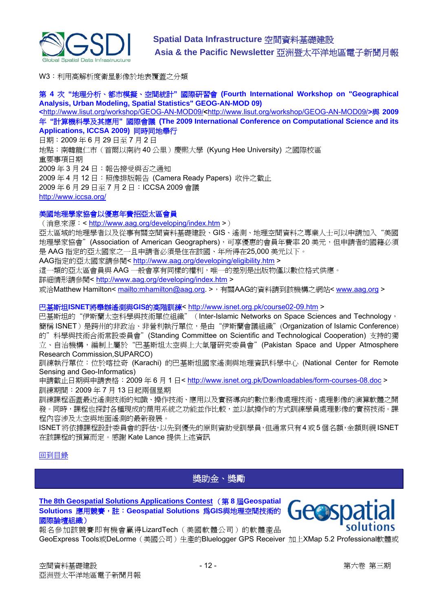<span id="page-11-0"></span>

W3:利用高解析度衛星影像於地表覆蓋之分類

#### 第 **4** 次 **"**地理分析、都市模擬、空間統計**"** 國際研習會 **(Fourth International Workshop on "Geographical Analysis, Urban Modeling, Spatial Statistics" GEOG-AN-MOD 09)**

**<**<http://www.lisut.org/workshop/GEOG-AN-MOD09/>**<**<http://www.lisut.org/workshop/GEOG-AN-MOD09/>**>**與 **2009** 年 **"**計算機科學及其應用**"** 國際會議 **(The 2009 International Conference on Computational Science and its Applications, ICCSA 2009)** 同時同地舉行

日期:2009 年 6 月 29 日至 7 月 2 日 地點:南韓龍仁市(首爾以南約 40 公里)慶熙大學 (Kyung Hee University) 之國際校區 重要事項日期 2009 年 3 月 24 日:報告接受與否之通知 2009 年 4 月 12 日:照像排版報告 (Camera Ready Papers) 收件之截止 2009 年 6 月 29 日至 7 月 2 日:ICCSA 2009 會議 <http://www.iccsa.org/>

#### 美國地理學家協會以優惠年費招亞太區會員

(消息來源:< <http://www.aag.org/developing/index.htm> >)

亞太區域的地理學者以及從事有關空間資料基礎建設、GIS、遙測、地理空間資料之專業人士可以申請加入"美國 地理學家協會"(Association of American Geographers),可享優惠的會員年費率 20 美元,但申請者的國籍必須 是 AAG 指定的亞太國家之一且申請者必須是住在該國、年所得在25,000 美元以下。

AAG指定的亞太國家請參閱< <http://www.aag.org/developing/eligibility.htm> >

這一類的亞太區會員與 AAG 一般會享有同樣的權利,唯一的差別是出版物僅以數位格式供應。

詳細情形請參閱<<http://www.aag.org/developing/index.htm> >

或洽Matthew Hamilton< <mailto:mhamilton@aag.org>. >,有關AAG的資料請到該機構之網站< [www.aag.org](http://www.aag.org/) >

#### 巴基斯坦**ISNET**將舉辦遙測與**GIS**的高階訓練<<http://www.isnet.org.pk/course02-09.htm> >

巴基斯坦的"伊斯蘭太空科學與技術單位組織"(Inter-Islamic Networks on Space Sciences and Technology, 簡稱 ISNET)是跨州的非政治、非營利執行單位,是由"伊斯蘭會議組織"(Organization of Islamic Conference) 的"科學與技術合術常設委員會"(Standing Committee on Scientific and Technological Cooperation) 支持的獨 立、自治機構,編制上屬於"巴基斯坦太空與上大氣層研究委員會"(Pakistan Space and Upper Atmosphere Research Commission,SUPARCO)

訓練執行單位:位於喀拉奇 (Karachi) 的巴基斯坦國家遙測與地理資訊科學中心 (National Center for Remote Sensing and Geo-Informatics)

申請截止日期與申請表格: 2009年6月1日<<http://www.isnet.org.pk/Downloadables/form-courses-08.doc> > 訓練期間:2009 年 7 月 13 日起兩個星期

訓練課程涵蓋最近遙測技術的知識、操作技術、應用以及實務導向的數位影像處理技術、處理影像的演算軟體之開 發。同時,課程也探討各種現成的商用系統之功能並作比較,並以試操作的方式訓練學員處理影像的實務技術。課 程內容涉及太空與地面遙測的最新發展。

ISNET 將依據課程設計委員會的評估,以先到優先的原則資助受訓學員,但通常只有 4 或 5 個名額,金額則視 ISNET 在該課程的預算而定。感謝 Kate Lance 提供上述資訊

#### [回到目錄](#page-0-0)

獎助金、獎勵

**[The 8th Geospatial Solutions Applications Contest](http://www.geospatial-solutions.com/applicationsContest)** (第 **8** 屆**Geospatial Solutions** 應用競賽,註:**Geospatial Solutions** 為**GIS**與地理空間技術的 國際論壇組織)

報名參加該競賽即有機會贏得LizardTech(美國軟體公司)的軟體產品



GeoExpress Tools或DeLorme(美國公司)生產的Bluelogger GPS Receiver 加上XMap 5.2 Professional軟體或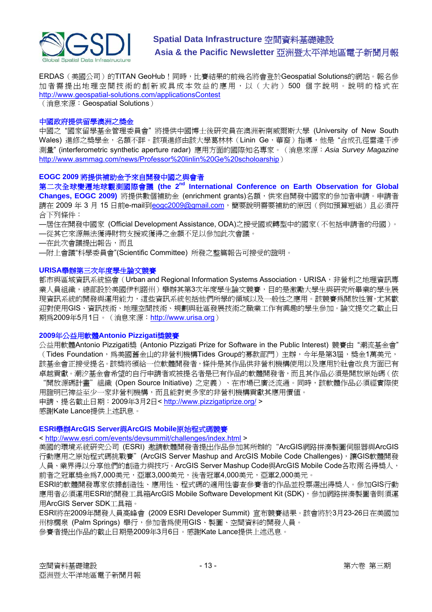

ERDAS (美國公司)的TITAN GeoHub!同時,比賽結果的前幾名將會登於Geospatial Solutions的網站。報名參 加者需提出地理空間技術的創新或具成本效益的應用,以(大約) 500 個字說明。說明的格式在 <http://www.geospatial-solutions.com/applicationsContest>

(消息來源:Geospatial Solutions)

#### 中國政府提供留學澳洲之獎金

中國之 "國家留學基金管理委員會" 將提供中國博士後研究員在澳洲新南威爾斯大學 (University of New South Wales) 進修之獎學金, 名額不詳。該項進修由該大學葛林林 (Linin Ge, 華裔) 指導, 他是"合成孔徑雷達干涉 測量" (interferometric synthetic aperture radar) 應用方面的國際知名專家。(消息來源:*Asia Survey Magazine* [http://www.asmmag.com/news/Professor%20linlin%20Ge%20scholoarship](http://www.asmmag.com/news/Professor%2520linlin%2520Ge%2520scholoarship))

#### **EOGC 2009** 將提供補助金予來自開發中國之與會者

第二次全球變遷地球觀測國際會議 (the 2<sup>nd</sup> International Conference on Earth Observation for Global **Changes, EOGC 2009)** 將提供數個補助金 (enrichment grants)名額, 供來自開發中國家的參加者申請。申請者 請在 2009年 3月 15 日前e-mail到[eogc2009@gmail.com](mailto:eogc2009@gmail.com),簡要說明需要補助的原因(例如預算短絀)且必須符 合下列條件:

—居住在開發中國家 (Official Development Assistance, ODA)之接受國或轉型中的國家(不包括申請者的母國)。

—從其它來源無法獲得財物支援或獲得之金額不足以參加此次會議。

—在此次會議提出報告,而且

—附上會議"科學委員會"(Scientific Committee) 所發之整篇報告可接受的證明。

#### **URISA**舉辦第三次年度學生論文競賽

都市與區域資訊系統協會(Urban and Regional Information Systems Association, URISA, 非營利之地理資訊專 業人員組織,總部設於美國伊利諾州)舉辦其第3次年度學生論文競賽,目的是激勵大學生與研究所畢業的學生展 現資訊系統的開發與運用能力,這些資訊系統包括他們所學的領域以及一般性之應用。該競賽為開放性質,尤其歡 迎對使用GIS、資訊技術、地理空間技術、規劃與社區發展技術之職業工作有興趣的學生參加。論文提交之截止日 期為2009年5月1日。(消息來源: [http://www.urisa.org](http://www.urisa.org/node/1190))

#### **2009**年公益用軟體**Antonio Pizzigati**獎競賽

公益用軟體Antonio Pizzigati獎 (Antonio Pizzigati Prize for Software in the Public Interest) 競賽由 "潮流基金會" (Tides Foundation,為美國舊金山的非營利機構Tides Group的募款部門)主辦,今年是第3屆,獎金1萬美元, 該基金會正接受提名。該獎將頒給一位軟體開發者,條件是其作品供非營利機構使用以及應用於社會改良方面已有 卓越貢獻。潮汐基金會希望的自行申請者或被提名者是已有作品的軟體開發者,而且其作品必須是開放原始碼(依 "開放源碼計畫"組織 (Open Source Initiative) 之定義)、在市場已廣泛流通。同時,該軟體作品必須經實際使 用證明已裨益至少一家非營利機構,而且能對更多家的非營利機構貢獻其應用價值。

申請、提名截止日期:2009年3月2日< <http://www.pizzigatiprize.org/> > 感謝Kate Lance提供上述訊息。

#### **ESRI**舉辦**ArcGIS Server**與**ArcGIS Mobile**原始程式碼競賽

< <http://www.esri.com/events/devsummit/challenges/index.html> >

美國的環境系統研究公司 (ESRI) 邀請軟體開發者提出作品參加其所辦的"ArcGIS網路拼湊製圖伺服器與ArcGIS 行動應用之原始程式碼挑戰賽" (ArcGIS Server Mashup and ArcGIS Mobile Code Challenges),讓GIS軟體開發 人員、業界得以分享他們的創造力與技巧。ArcGIS Server Mashup Code與ArcGIS Mobile Code各取兩名得獎人, 前者之冠軍獎金為7,000美元,可軍3,000美元,後者冠軍4,000美元,可軍2,000美元。

ESRI的軟體開發專家依據創造性、應用性、程式碼的適用性審查參賽者的作品並投票選出得獎人。參加GIS行動 應用者必須運用ESRI的開發工具箱ArcGIS Mobile Software Development Kit (SDK), 參加網路拼湊製圖者則須運 用ArcGIS Server SDK工具箱。

ESRI將在2009年開發人員高峰會 (2009 ESRI Developer Summit) 宣布競賽結果。該會將於3月23-26日在美國加 州棕櫚泉 (Palm Springs) 舉行,參加者為使用GIS、製圖、空間資料的開發人員。

參賽者提出作品的截止日期是2009年3月6日。感謝Kate Lance提供上述迅息。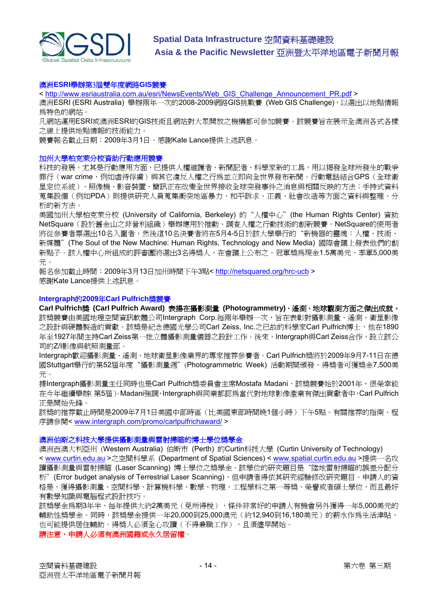

#### 澳洲**ESRI**舉辦第3屆雙年度網路**GIS**競賽

< [http://www.esriaustralia.com.au/esri/NewsEvents/Web\\_GIS\\_Challenge\\_Announcement\\_PR.pdf](https://owa.unimelb.edu.au/exchweb/bin/redir.asp?URL=http://www.esriaustralia.com.au/esri/NewsEvents/Web_GIS_Challenge_Announcement_PR.pdf) >

澳洲ESRI (ESRI Australia) 舉辦兩年一次的2008-2009網路GIS挑戰賽 (Web GIS Challenge), 以選出以地點情報 為特色的網站。

凡網站運用ESRI或澳洲ESRI的GIS技術且網站對大眾開放之機構都可參加競賽。該競賽旨在展示全澳洲各式各樣 之線上提供地點情報的技術能力。

競賽報名截止日期:2009年3月1日。感謝Kate Lance提供上述訊息。

#### 加州大學柏克萊分校資助行動應用競賽

科技的發展,尤其是行動應用方面,已提供人權維護者、新聞記者、科學家新的工具,用以揭發全球所發生的戰爭 罪行(war crime, 例如虐待俘虜)與其它違反人權之行為並立即向全世界發布新聞。行動電話結合GPS(全球衛 星定位系統)、照像機、影音裝置、簡訊正在改變全世界接收全球突發事件之消息與相關反映的方法;手持式資料 蒐集設備(例如PDA)則提供研究人員蒐集衝突地區暴力、和平訴求、正義、社會改造等方面之資料與整理、分 析的新方法。

美國加州大學柏克萊分校 (University of California, Berkeley) 的"人權中心"(the Human Rights Center) 資助 NetSquare(設於舊金山之非營利組織)舉辦應用於推動、調查人權之行動技術的創新競賽。NetSquare的使用者 將從參賽者票選出10名入圍者,然後這10名決賽者將在5月4-5日於該大學舉行的"新機器的靈魂:人權、技術、 新媒體"(The Soul of the New Machine: Human Rights, Technology and New Media) 國際會議上發表他們的創 新點子。該人權中心所組成的評審團將選出3名得獎人,在會議上公布之。冠軍獎為現金1.5萬美元,季軍5,000美 元。

報名參加截止時間:2009年3月13日加州時間下午3點<<http://netsquared.org/hrc-ucb>> 感謝Kate Lance提供上述訊息。

#### **Intergraph**的**2009**年**Carl Pulfrich**獎競賽

**Carl Pulfrich**獎 **(Carl Pulfrich Award)** 表揚在攝影測量 **(Photogrammetry)**、遙測、地球觀測方面之傑出成就。 該獎競賽由美國地理空間資訊軟體公司Intergraph Corp.每兩年舉辦一次,旨在表彰對攝影測量、遙測、衛星影像 之設計與硬體製造的貢獻。該獎是紀念德國光學公司Carl Zeiss, Inc.之已故的科學家Carl Pulfrich博士, 他在1890 年至1927年間主持Carl Zeiss第一批立體攝影測量儀器之設計工作。後來,Intergraph與Carl Zeiss合作,設立該公 司的Z/I影像與航照測量部。

Intergraph歡迎攝影測量、遙測、地球衛星影像業界的專家推荐參賽者。Carl Pulfrich獎將於2009年9月7-11日在德 國Stuttgart舉行的第52屆年度"攝影測量週"(Photogrammetric Week) 活動期間頒發,得獎者可獲獎金7,500美 元。

據Intergraph攝影測量主任同時也是Carl Pulfrich獎委員會主席Mostafa Madani,該獎競賽始於2001年,很榮幸能 在今年繼續舉辦(第5屆)。Madani強調,Intergraph與同業都認為當代對地球影像產業有傑出貢獻者中,Carl Pulfrich 正是開始先鋒。

該獎的推荐截止時間是2009年7月1日美國中部時區(比美國東部時間晚1個小時)下午5點。有關推荐的指南、程 序請參閱< www.intergraph.com/promo/carlpulfrichaward/>

#### 澳洲伯斯之科技大學提供攝影測量與雷射掃瞄的博士學位獎學金

澳洲西澳大利亞州 (Western Australia) 伯斯市 (Perth) 的Curtin科技大學 (Curtin University of Technology) < [www.curtin.edu.au](http://www.curtin.edu.au/) >之空間科學系 (Department of Spatial Sciences) < [www.spatial.curtin.edu.au](http://www.spatial.curtin.edu.au/) >提供一名攻 讀攝影測量與雷射掃瞄(Laser Scanning)博士學位之獎學金。該學位的研究題目是"陸地雷射掃瞄的誤差分配分 析" (Error budget analysis of Terrestrial Laser Scanning),但申請者得依其研究經驗修改研究題目。申請人的資 格是,獲得攝影測量、空間科學、計算機科學、數學、物理、工程學科之第一等獎、榮譽或者碩士學位,而且最好 有數學知識與電腦程式設計技巧。

該獎學金為期3年半,每年提供大約2萬美元(免所得稅),條件非常好的申請人有機會另外獲得一年5,000美元的 輔助性獎學金。同時,該獎學金提供一年20,000到25,000澳元(約12,940到16,180美元)的薪水作為生活津貼, 也可能提供居住輔助。得獎人必須全心攻讀(不得兼職工作),且須儘早開始。

#### 請注意,申請人必須有澳洲國籍或永久居留權。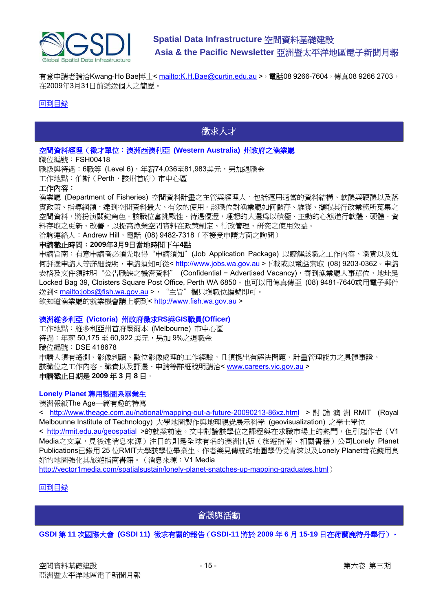<span id="page-14-0"></span>

有意申請者請洽Kwang-Ho Bae博士<<mailto:K.H.Bae@curtin.edu.au>>, 電話08 9266-7604, 傳真08 9266 2703, 在2009年3月31日前遞送個人之簡歷。

#### [回到目錄](#page-0-0)

## 徵求人才

#### 空間資料經理(徵才單位:澳洲西澳利亞 **(Western Australia)** 州政府之漁業廳

職位編號: FSH00418

職級與待遇:6職等 (Level 6), 年薪74,036至81,983美元, 另加退職金

工作地點:伯斯(Perth,該州首府)市中心區

#### 工作內容:

漁業廳 (Department of Fisheries) 空間資料計畫之主管與經理人,包括運用適當的資料結構、軟體與硬體以及落 實政策、指導綱領,達到空間資料最大、有效的使用。該職位對漁業廳如何儲存、維獲、擷取其行政業務所蒐集之 空間資料,將扮演關鍵角色。該職位富挑戰性、待遇優渥,理想的人選為以積極、主動的心態進行軟體、硬體、資 料存取之更新、改善,以提高漁業空間資料在政策制定、行政管理、研究之使用效益。

洽詢連絡人: Andrew Hill, 電話 (08) 9482-7318 (不接受申請方面之詢問)

#### 申請截止時間:**2009**年**3**月**9**日當地時間下午**4**點

申請旨南:有意申請者必須先取得"申請須知"(Job Application Package)以瞭解該職之工作內容、職責以及如 何評選申請人等詳細說明,申請須知可從< [http://www.jobs.wa.gov.au](http://www.jobs.wa.gov.au/) >下載或以電話索取 (08) 9203-0362。申請 表格及文件須註明"公告職缺之機密資料" (Confidential - Advertised Vacancy), 寄到漁業廳人事單位, 地址是 Locked Bag 39, Cloisters Square Post Office, Perth WA 6850。也可以用傳真傳至 (08) 9481-7640或用電子郵件 送到<<mailto:jobs@fish.wa.gov.au> >, "主旨"欄只填職位編號即可。 欲知道漁業廳的就業機會請上網到< [http://www.fish.wa.gov.au](http://www.fish.wa.gov.au/) >

#### 澳洲維多利亞 **(Victoria)** 州政府徵求**RS**與**GIS**職員**(Officer)**

工作地點:維多利亞州首府墨爾本 (Melbourne) 市中心區 待遇:年薪 50,175 至 60,922 美元,另加 9%之退職金 職位編號:DSE 418678 申請人須有遙測、影像判讀、數位影像處理的工作經驗,且須提出有解決問題、計畫管理能力之具體事證。 該職位之工作內容、職責以及評選、申請等詳細說明請洽< [www.careers.vic.gov.au](http://www.careers.vic.gov.au/) > 申請截止日期是 **2009** 年 **3** 月 **8** 日。

#### **Lonely Planet** 聘用製圖系畢業生

澳洲報紙The Age一篇有趣的特寫

< <http://www.theage.com.au/national/mapping-out-a-future-20090213-86xz.html> > 討論澳洲 RMIT (Royal Melbounne Institute of Technology) 大學地圖製作與地理視覺展示科學 (geovisualization) 之學士學位

< <http://rmit.edu.au/geospatial> >的就業前途。文中討論該學位之課程與在求職市場上的熱門,但引起作者(V1 Media之文章,見後述消息來源)注目的則是全球有名的澳洲出版(旅遊指南、相關書籍)公司Lonely Planet Publications已錄用 25 位RMIT大學該學位畢業生。作者樂見傳統的地圖學仍受青睞以及Lonely Planet肯花錢用良 好的地圖強化其旅遊指南書籍。(消息來源:V1 Media

<http://vector1media.com/spatialsustain/lonely-planet-snatches-up-mapping-graduates.html>)

[回到目錄](#page-0-0)

會議與活動

#### **GSDI** 第 **11** 次國際大會 **(GSDI 11)** 徵求有關的報告(**GSDI-11** 將於 **2009** 年 **6** 月 **15-19** 日在荷蘭鹿特丹舉行)。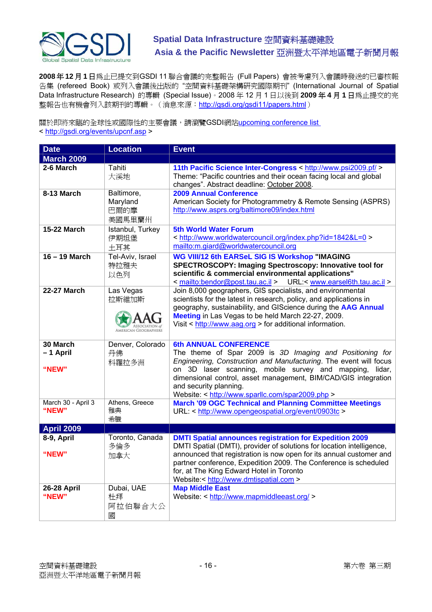

**2008** 年 **12** 月 **1** 日為止已提交到GSDI 11 聯合會議的完整報告 (Full Papers) 會被考慮列入會議時發送的已審核報 告集 (refereed Book) 或列入會議後出版的 "空間資料基礎架構研究國際期刊" (International Journal of Spatial Data Infrastructure Research) 的專輯 (Special Issue)。2008 年 12 月 1 日以後到 **2009** 年 **4** 月 **1** 日為止提交的完 整報告也有機會列入該期刊的專輯。(消息來源: <http://gsdi.org/gsdi11/papers.html>)

關於即將來臨的全球性或國際性的主要會議,請瀏覽GSDI網站[upcoming conference list](http://gsdi.org/events/upcnf.asp) 

< <http://gsdi.org/events/upcnf.asp>>

| <b>Date</b>                 | <b>Location</b>                          | <b>Event</b>                                                                                                                                                                                                                                                                                                         |
|-----------------------------|------------------------------------------|----------------------------------------------------------------------------------------------------------------------------------------------------------------------------------------------------------------------------------------------------------------------------------------------------------------------|
| <b>March 2009</b>           |                                          |                                                                                                                                                                                                                                                                                                                      |
| 2-6 March                   | Tahiti<br>大溪地                            | 11th Pacific Science Inter-Congress < http://www.psi2009.pf/ ><br>Theme: "Pacific countries and their ocean facing local and global<br>changes". Abstract deadline: October 2008.                                                                                                                                    |
| 8-13 March                  | Baltimore,<br>Maryland<br>巴爾的摩<br>美國馬里蘭州 | <b>2009 Annual Conference</b><br>American Society for Photogrammetry & Remote Sensing (ASPRS)<br>http://www.asprs.org/baltimore09/index.html                                                                                                                                                                         |
| <b>15-22 March</b>          | Istanbul, Turkey<br>伊期坦堡<br>土耳其          | <b>5th World Water Forum</b><br>< http://www.worldwatercouncil.org/index.php?id=1842&L=0 ><br>mailto:m.giard@worldwatercouncil.org                                                                                                                                                                                   |
| 16 - 19 March               | Tel-Aviv, Israel<br>特拉雅夫<br>以色列          | <b>WG VIII/12 6th EARSeL SIG IS Workshop "IMAGING</b><br>SPECTROSCOPY: Imaging Spectroscopy: Innovative tool for<br>scientific & commercial environmental applications"<br>URL:< www.earsel6th.tau.ac.il ><br>< mailto:bendor@post.tau.ac.il >                                                                       |
| <b>22-27 March</b>          | Las Vegas<br>拉斯維加斯                       | Join 8,000 geographers, GIS specialists, and environmental<br>scientists for the latest in research, policy, and applications in<br>geography, sustainability, and GIScience during the AAG Annual<br>Meeting in Las Vegas to be held March 22-27, 2009.<br>Visit < http://www.aag.org > for additional information. |
| 30 March<br>-1 April        | Denver, Colorado<br>丹佛                   | <b>6th ANNUAL CONFERENCE</b><br>The theme of Spar 2009 is 3D Imaging and Positioning for                                                                                                                                                                                                                             |
| "NEW"                       | 科羅拉多洲                                    | Engineering, Construction and Manufacturing. The event will focus<br>on 3D laser scanning, mobile survey and mapping, lidar,<br>dimensional control, asset management, BIM/CAD/GIS integration<br>and security planning.<br>Website: < http://www.sparllc.com/spar2009.php >                                         |
| March 30 - April 3<br>"NEW" | Athens, Greece<br>雅典<br>希臘               | <b>March '09 OGC Technical and Planning Committee Meetings</b><br>URL: < http://www.opengeospatial.org/event/0903tc >                                                                                                                                                                                                |
| <b>April 2009</b>           |                                          |                                                                                                                                                                                                                                                                                                                      |
| 8-9, April                  | Toronto, Canada<br>多倫多                   | <b>DMTI Spatial announces registration for Expedition 2009</b><br>DMTI Spatial (DMTI), provider of solutions for location intelligence,                                                                                                                                                                              |
| "NEW"                       | 加拿大                                      | announced that registration is now open for its annual customer and<br>partner conference, Expedition 2009. The Conference is scheduled<br>for, at The King Edward Hotel in Toronto<br>Website:< http://www.dmtispatial.com >                                                                                        |
| <b>26-28 April</b><br>"NEW" | Dubai, UAE<br>杜拜<br>阿拉伯聯合大公<br>國         | <b>Map Middle East</b><br>Website: < http://www.mapmiddleeast.org/ >                                                                                                                                                                                                                                                 |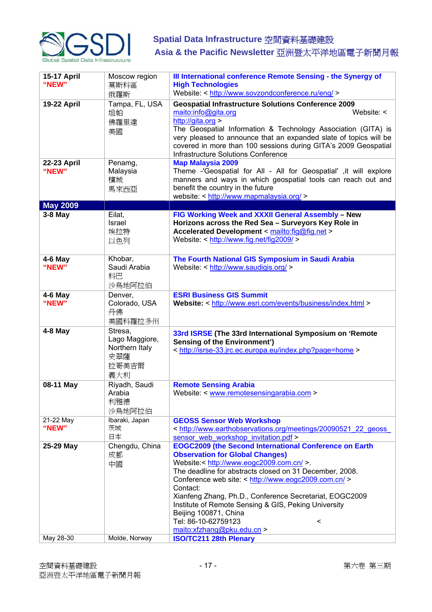

| <b>15-17 April</b><br>"NEW" | Moscow region<br>莫斯科區<br>俄羅斯                                       | III International conference Remote Sensing - the Synergy of<br><b>High Technologies</b><br>Website: < http://www.sovzondconference.ru/eng/ >                                                                                                                                                                                                                                                                                                                                                                                   |
|-----------------------------|--------------------------------------------------------------------|---------------------------------------------------------------------------------------------------------------------------------------------------------------------------------------------------------------------------------------------------------------------------------------------------------------------------------------------------------------------------------------------------------------------------------------------------------------------------------------------------------------------------------|
| <b>19-22 April</b>          | Tampa, FL, USA<br>坦帕<br>佛羅里達<br>美國                                 | <b>Geospatial Infrastructure Solutions Conference 2009</b><br>maito:info@gita.org<br>Website: $\leq$<br>http://gita.org ><br>The Geospatial Information & Technology Association (GITA) is<br>very pleased to announce that an expanded slate of topics will be<br>covered in more than 100 sessions during GITA's 2009 Geospatial<br>Infrastructure Solutions Conference                                                                                                                                                       |
| <b>22-23 April</b><br>"NEW" | Penamg,<br>Malaysia<br>檳城<br>馬來西亞                                  | <b>Map Malaysia 2009</b><br>Theme -'Geospatial for All - All for Geospatial' ,it will explore<br>manners and ways in which geospatial tools can reach out and<br>benefit the country in the future<br>website: < http://www.mapmalaysia.org/ >                                                                                                                                                                                                                                                                                  |
| <b>May 2009</b>             |                                                                    |                                                                                                                                                                                                                                                                                                                                                                                                                                                                                                                                 |
| 3-8 May                     | Eilat,<br>Israel<br>埃拉特<br>以色列                                     | FIG Working Week and XXXII General Assembly - New<br>Horizons across the Red Sea - Surveyors Key Role in<br>Accelerated Development < mailto:fig@fig.net ><br>Website: < http://www.fig.net/fig2009/ >                                                                                                                                                                                                                                                                                                                          |
| $4-6$ May<br>"NEW"          | Khobar,<br>Saudi Arabia<br>科巴<br>沙鳥地阿拉伯                            | The Fourth National GIS Symposium in Saudi Arabia<br>Website: < http://www.saudigis.org/ >                                                                                                                                                                                                                                                                                                                                                                                                                                      |
| $4-6$ May<br>"NEW"          | Denver,<br>Colorado, USA<br>丹佛<br>美國科羅拉多州                          | <b>ESRI Business GIS Summit</b><br>Website: < http://www.esri.com/events/business/index.html >                                                                                                                                                                                                                                                                                                                                                                                                                                  |
| 4-8 May                     | Stresa,<br>Lago Maggiore,<br>Northern Italy<br>史翠薩<br>拉哥美吉爾<br>義大利 | 33rd ISRSE (The 33rd International Symposium on 'Remote<br><b>Sensing of the Environment')</b><br>< http://isrse-33.jrc.ec.europa.eu/index.php?page=home >                                                                                                                                                                                                                                                                                                                                                                      |
| 08-11 May                   | Riyadh, Saudi<br>Arabia<br>利雅德<br>沙烏地阿拉伯                           | <b>Remote Sensing Arabia</b><br>Website: < www.remotesensingarabia.com >                                                                                                                                                                                                                                                                                                                                                                                                                                                        |
| 21-22 May<br>"NEW"          | Ibaraki, Japan<br>茨城<br>日本                                         | <b>GEOSS Sensor Web Workshop</b><br>< http://www.earthobservations.org/meetings/20090521 22 geoss<br>sensor web workshop invitation.pdf >                                                                                                                                                                                                                                                                                                                                                                                       |
| 25-29 May<br>May 28-30      | Chengdu, China<br>成都<br>中國<br>Molde, Norway                        | <b>EOGC2009 (the Second International Conference on Earth</b><br><b>Observation for Global Changes)</b><br>Website:< http://www.eogc2009.com.cn/ >.<br>The deadline for abstracts closed on 31 December, 2008.<br>Conference web site: < http://www.eogc2009.com.cn/ ><br>Contact:<br>Xianfeng Zhang, Ph.D., Conference Secretariat, EOGC2009<br>Institute of Remote Sensing & GIS, Peking University<br>Beijing 100871, China<br>Tel: 86-10-62759123<br>$\,<\,$<br>maito:xfzhang@pku.edu.cn ><br><b>ISO/TC211 28th Plenary</b> |
|                             |                                                                    |                                                                                                                                                                                                                                                                                                                                                                                                                                                                                                                                 |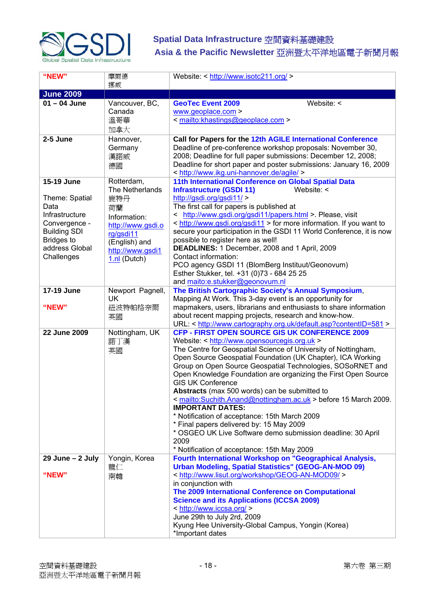

| "NEW"                | 摩爾德                           | Website: < http://www.isotc211.org/ >                                                                                        |
|----------------------|-------------------------------|------------------------------------------------------------------------------------------------------------------------------|
|                      | 挪威                            |                                                                                                                              |
| <b>June 2009</b>     |                               |                                                                                                                              |
| $01 - 04$ June       | Vancouver, BC,                | Website: <<br><b>GeoTec Event 2009</b>                                                                                       |
|                      | Canada                        | www.geoplace.com >                                                                                                           |
|                      | 溫哥華                           | < mailto:khastings@geoplace.com >                                                                                            |
|                      | 加拿大                           |                                                                                                                              |
| 2-5 June             | Hannover,                     | Call for Papers for the 12th AGILE International Conference                                                                  |
|                      | Germany                       | Deadline of pre-conference workshop proposals: November 30,                                                                  |
|                      | 漢諾威                           | 2008; Deadline for full paper submissions: December 12, 2008;                                                                |
|                      | 德國                            | Deadline for short paper and poster submissions: January 16, 2009                                                            |
|                      |                               | < http://www.ikg.uni-hannover.de/agile/ >                                                                                    |
| 15-19 June           | Rotterdam,<br>The Netherlands | 11th International Conference on Global Spatial Data<br>Website: <                                                           |
| Theme: Spatial       | 鹿特丹                           | <b>Infrastructure (GSDI 11)</b><br>http://gsdi.org/gsdi11/                                                                   |
| Data                 | 荷蘭                            | The first call for papers is published at                                                                                    |
| Infrastructure       | Information:                  | < http://www.gsdi.org/gsdi11/papers.html > Please, visit                                                                     |
| Convergence -        | http://www.gsdi.o             | < http://www.gsdi.org/gsdi11 > for more information. If you want to                                                          |
| <b>Building SDI</b>  | rg/gsdi11                     | secure your participation in the GSDI 11 World Conference, it is now                                                         |
| <b>Bridges to</b>    | (English) and                 | possible to register here as well!                                                                                           |
| address Global       | http://www.gsdi1              | DEADLINES: 1 December, 2008 and 1 April, 2009                                                                                |
| Challenges           | 1.nl (Dutch)                  | Contact information:                                                                                                         |
|                      |                               | PCO agency GSDI 11 (BlomBerg Instituut/Geonovum)                                                                             |
|                      |                               | Esther Stukker, tel. +31 (0)73 - 684 25 25                                                                                   |
|                      |                               | and maito:e.stukker@geonovum.nl                                                                                              |
| <b>17-19 June</b>    | Newport Pagnell,<br>UK.       | The British Cartographic Society's Annual Symposium,                                                                         |
| "NEW"                | 紐波特帕格奈爾                       | Mapping At Work. This 3-day event is an opportunity for<br>mapmakers, users, librarians and enthusiasts to share information |
|                      |                               | about recent mapping projects, research and know-how.                                                                        |
|                      | 英國                            | URL: < http://www.cartography.org.uk/default.asp?contentID=581 >                                                             |
| 22 June 2009         | Nottingham, UK                | <b>CFP - FIRST OPEN SOURCE GIS UK CONFERENCE 2009</b>                                                                        |
|                      | 諾丁漢                           | Website: < http://www.opensourcegis.org.uk >                                                                                 |
|                      | 英國                            | The Centre for Geospatial Science of University of Nottingham,                                                               |
|                      |                               | Open Source Geospatial Foundation (UK Chapter), ICA Working                                                                  |
|                      |                               | Group on Open Source Geospatial Technologies, SOSoRNET and                                                                   |
|                      |                               | Open Knowledge Foundation are organizing the First Open Source                                                               |
|                      |                               | <b>GIS UK Conference</b>                                                                                                     |
|                      |                               | Abstracts (max 500 words) can be submitted to                                                                                |
|                      |                               | <u>&lt; mailto:Suchith.Anand@nottingham.ac.uk</u> > before 15 March 2009.<br><b>IMPORTANT DATES:</b>                         |
|                      |                               | * Notification of acceptance: 15th March 2009                                                                                |
|                      |                               | * Final papers delivered by: 15 May 2009                                                                                     |
|                      |                               | * OSGEO UK Live Software demo submission deadline: 30 April                                                                  |
|                      |                               | 2009                                                                                                                         |
|                      |                               | * Notification of acceptance: 15th May 2009                                                                                  |
| $29$ June - $2$ July | Yongin, Korea                 | Fourth International Workshop on "Geographical Analysis,                                                                     |
|                      | 龍仁                            | <b>Urban Modeling, Spatial Statistics" (GEOG-AN-MOD 09)</b>                                                                  |
| "NEW"                | 南韓                            | < http://www.lisut.org/workshop/GEOG-AN-MOD09/ >                                                                             |
|                      |                               | in conjunction with                                                                                                          |
|                      |                               | The 2009 International Conference on Computational                                                                           |
|                      |                               | <b>Science and its Applications (ICCSA 2009)</b>                                                                             |
|                      |                               | < http://www.iccsa.org/ ><br>June 29th to July 2rd, 2009                                                                     |
|                      |                               | Kyung Hee University-Global Campus, Yongin (Korea)                                                                           |
|                      |                               | *Important dates                                                                                                             |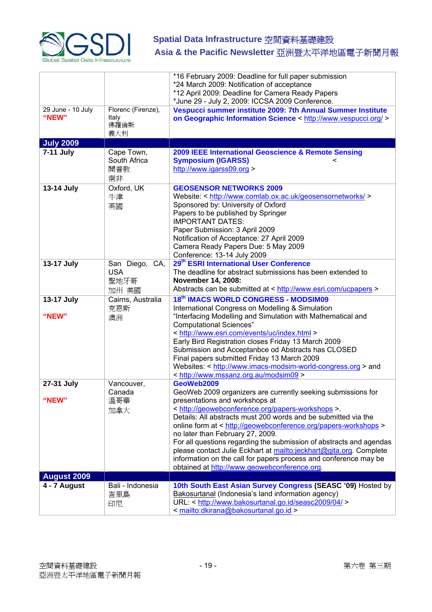

|                            |                                               | *16 February 2009: Deadline for full paper submission<br>*24 March 2009: Notification of acceptance<br>*12 April 2009: Deadline for Camera Ready Papers<br>*June 29 - July 2, 2009: ICCSA 2009 Conference.                                                                                                                                                                                                                                                                                                                                                                                                  |
|----------------------------|-----------------------------------------------|-------------------------------------------------------------------------------------------------------------------------------------------------------------------------------------------------------------------------------------------------------------------------------------------------------------------------------------------------------------------------------------------------------------------------------------------------------------------------------------------------------------------------------------------------------------------------------------------------------------|
| 29 June - 10 July<br>"NEW" | Florenc (Firenze),<br>Italy<br>佛羅倫斯<br>義大利    | Vespucci summer institute 2009: 7th Annual Summer Institute<br>on Geographic Information Science < http://www.vespucci.org/ >                                                                                                                                                                                                                                                                                                                                                                                                                                                                               |
| <b>July 2009</b>           |                                               |                                                                                                                                                                                                                                                                                                                                                                                                                                                                                                                                                                                                             |
| 7-11 July                  | Cape Town,<br>South Africa<br>開普敦<br>南非       | 2009 IEEE International Geoscience & Remote Sensing<br><b>Symposium (IGARSS)</b><br>http://www.igarss09.org >                                                                                                                                                                                                                                                                                                                                                                                                                                                                                               |
| 13-14 July                 | Oxford, UK<br>牛津<br>英國                        | <b>GEOSENSOR NETWORKS 2009</b><br>Website: < http://www.comlab.ox.ac.uk/geosensornetworks/ ><br>Sponsored by: University of Oxford<br>Papers to be published by Springer<br><b>IMPORTANT DATES:</b><br>Paper Submission: 3 April 2009<br>Notification of Acceptance: 27 April 2009<br>Camera Ready Papers Due: 5 May 2009<br>Conference: 13-14 July 2009                                                                                                                                                                                                                                                    |
| 13-17 July                 | San Diego, CA,<br><b>USA</b><br>聖地牙哥<br>加州 美國 | 29 <sup>th</sup> ESRI International User Conference<br>The deadline for abstract submissions has been extended to<br>November 14, 2008:<br>Abstracts can be submitted at < http://www.esri.com/ucpapers >                                                                                                                                                                                                                                                                                                                                                                                                   |
| 13-17 July<br>"NEW"        | Cairns, Australia<br>克恩斯<br>澳洲                | 18th IMACS WORLD CONGRESS - MODSIM09<br>International Congress on Modelling & Simulation<br>"Interfacing Modelling and Simulation with Mathematical and<br><b>Computational Sciences"</b><br>< http://www.esri.com/events/uc/index.html ><br>Early Bird Registration closes Friday 13 March 2009<br>Submission and Acceptanbce od Abstracts has CLOSED<br>Final papers submitted Friday 13 March 2009<br>Websites: < http://www.imacs-modsim-world-congress.org > and<br>< http://www.mssanz.org.au/modsim09 >                                                                                              |
| 27-31 July<br>"NEW"        | Vancouver,<br>Canada<br>溫哥華<br>加拿大            | GeoWeb2009<br>GeoWeb 2009 organizers are currently seeking submissions for<br>presentations and workshops at<br>< http://geowebconference.org/papers-workshops >.<br>Details: All abstracts must 200 words and be submitted via the<br>online form at < http://geowebconference.org/papers-workshops ><br>no later than February 27, 2009.<br>For all questions regarding the submission of abstracts and agendas<br>please contact Julie Eckhart at mailto:jeckhart@gita.org. Complete<br>information on the call for papers process and conference may be<br>obtained at http://www.geowebconference.org. |
| <b>August 2009</b>         |                                               |                                                                                                                                                                                                                                                                                                                                                                                                                                                                                                                                                                                                             |
| 4 - 7 August               | Bali - Indonesia<br>峇里島<br>印尼                 | 10th South East Asian Survey Congress (SEASC '09) Hosted by<br>Bakosurtanal (Indonesia's land information agency)<br>URL: < http://www.bakosurtanal.go.id/seasc2009/04/ ><br><mailto:dkirana@bakosurtanal.go.id></mailto:dkirana@bakosurtanal.go.id>                                                                                                                                                                                                                                                                                                                                                        |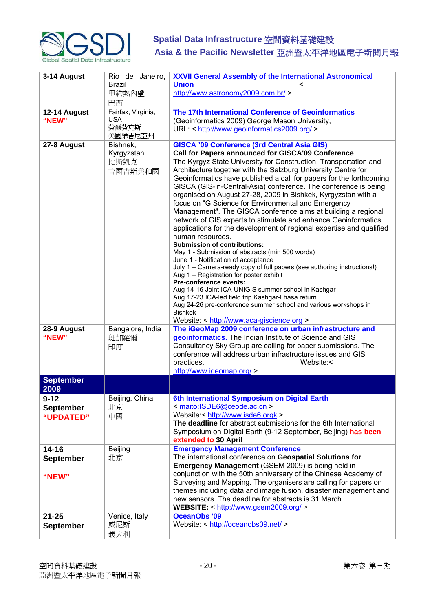

| 3-14 August                               | Rio de Janeiro,<br><b>Brazil</b>                     | <b>XXVII General Assembly of the International Astronomical</b><br><b>Union</b>                                                                                                                                                                                                                                                                                                                                                                                                                                                                                                                                                                                                                                                                                                                                                                                                                                                                                                                                                                                                                                                                                                                                                                                              |
|-------------------------------------------|------------------------------------------------------|------------------------------------------------------------------------------------------------------------------------------------------------------------------------------------------------------------------------------------------------------------------------------------------------------------------------------------------------------------------------------------------------------------------------------------------------------------------------------------------------------------------------------------------------------------------------------------------------------------------------------------------------------------------------------------------------------------------------------------------------------------------------------------------------------------------------------------------------------------------------------------------------------------------------------------------------------------------------------------------------------------------------------------------------------------------------------------------------------------------------------------------------------------------------------------------------------------------------------------------------------------------------------|
|                                           | 里約熱內盧<br>巴西                                          | http://www.astronomy2009.com.br/ >                                                                                                                                                                                                                                                                                                                                                                                                                                                                                                                                                                                                                                                                                                                                                                                                                                                                                                                                                                                                                                                                                                                                                                                                                                           |
| 12-14 August<br>"NEW"                     | Fairfax, Virginia,<br><b>USA</b><br>費爾費克斯<br>美國維吉尼亞州 | The 17th International Conference of Geoinformatics<br>(Geoinformatics 2009) George Mason University,<br>URL: < http://www.geoinformatics2009.org/ >                                                                                                                                                                                                                                                                                                                                                                                                                                                                                                                                                                                                                                                                                                                                                                                                                                                                                                                                                                                                                                                                                                                         |
| 27-8 August                               | Bishnek,<br>Kyrgyzstan<br>比斯凱克<br>吉爾吉斯共和國            | <b>GISCA '09 Conference (3rd Central Asia GIS)</b><br>Call for Papers announced for GISCA'09 Conference<br>The Kyrgyz State University for Construction, Transportation and<br>Architecture together with the Salzburg University Centre for<br>Geoinformatics have published a call for papers for the forthcoming<br>GISCA (GIS-in-Central-Asia) conference. The conference is being<br>organised on August 27-28, 2009 in Bishkek, Kyrgyzstan with a<br>focus on "GIScience for Environmental and Emergency<br>Management". The GISCA conference aims at building a regional<br>network of GIS experts to stimulate and enhance Geoinformatics<br>applications for the development of regional expertise and qualified<br>human resources.<br><b>Submission of contributions:</b><br>May 1 - Submission of abstracts (min 500 words)<br>June 1 - Notification of acceptance<br>July 1 - Camera-ready copy of full papers (see authoring instructions!)<br>Aug 1 - Registration for poster exhibit<br>Pre-conference events:<br>Aug 14-16 Joint ICA-UNIGIS summer school in Kashgar<br>Aug 17-23 ICA-led field trip Kashgar-Lhasa return<br>Aug 24-26 pre-conference summer school and various workshops in<br><b>Bishkek</b><br>Website: < http://www.aca-giscience.org > |
| 28-9 August<br>"NEW"                      | Bangalore, India<br>班加羅爾<br>印度                       | The iGeoMap 2009 conference on urban infrastructure and<br>geoinformatics. The Indian Institute of Science and GIS<br>Consultancy Sky Group are calling for paper submissions. The<br>conference will address urban infrastructure issues and GIS<br>practices.<br>Website:<<br>http://www.igeomap.org/ >                                                                                                                                                                                                                                                                                                                                                                                                                                                                                                                                                                                                                                                                                                                                                                                                                                                                                                                                                                    |
| <b>September</b><br>2009                  |                                                      |                                                                                                                                                                                                                                                                                                                                                                                                                                                                                                                                                                                                                                                                                                                                                                                                                                                                                                                                                                                                                                                                                                                                                                                                                                                                              |
| $9 - 12$<br><b>September</b><br>"UPDATED" | Beijing, China<br>北京<br>中國                           | 6th International Symposium on Digital Earth<br>< maito:ISDE6@ceode.ac.cn ><br>Website:< http://www.isde6.orgk ><br>The deadline for abstract submissions for the 6th International<br>Symposium on Digital Earth (9-12 September, Beijing) has been<br>extended to 30 April                                                                                                                                                                                                                                                                                                                                                                                                                                                                                                                                                                                                                                                                                                                                                                                                                                                                                                                                                                                                 |
| $14 - 16$<br><b>September</b><br>"NEW"    | <b>Beijing</b><br>北京                                 | <b>Emergency Management Conference</b><br>The international conference on Geospatial Solutions for<br>Emergency Management (GSEM 2009) is being held in<br>conjunction with the 50th anniversary of the Chinese Academy of<br>Surveying and Mapping. The organisers are calling for papers on<br>themes including data and image fusion, disaster management and<br>new sensors. The deadline for abstracts is 31 March.<br>WEBSITE: < http://www.gsem2009.org/ >                                                                                                                                                                                                                                                                                                                                                                                                                                                                                                                                                                                                                                                                                                                                                                                                            |
| $21 - 25$<br><b>September</b>             | Venice, Italy<br>威尼斯<br>義大利                          | <b>OceanObs '09</b><br>Website: < http://oceanobs09.net/ >                                                                                                                                                                                                                                                                                                                                                                                                                                                                                                                                                                                                                                                                                                                                                                                                                                                                                                                                                                                                                                                                                                                                                                                                                   |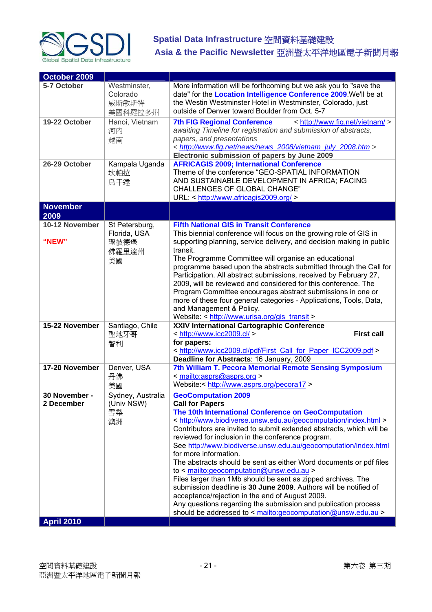

| October 2009                |                                              |                                                                                                                                                                                                                                                                                                                                                                                                                                                                                                                                                                                                                                                                                                                                                                                                                                                        |
|-----------------------------|----------------------------------------------|--------------------------------------------------------------------------------------------------------------------------------------------------------------------------------------------------------------------------------------------------------------------------------------------------------------------------------------------------------------------------------------------------------------------------------------------------------------------------------------------------------------------------------------------------------------------------------------------------------------------------------------------------------------------------------------------------------------------------------------------------------------------------------------------------------------------------------------------------------|
| 5-7 October                 | Westminster,<br>Colorado<br>威斯敏斯特<br>美國科羅拉多州 | More information will be forthcoming but we ask you to "save the<br>date" for the Location Intelligence Conference 2009. We'll be at<br>the Westin Westminster Hotel in Westminster, Colorado, just<br>outside of Denver toward Boulder from Oct. 5-7                                                                                                                                                                                                                                                                                                                                                                                                                                                                                                                                                                                                  |
| 19-22 October               | Hanoi, Vietnam<br>河內<br>越南                   | < http://www.fig.net/vietnam/ ><br><b>7th FIG Regional Conference</b><br>awaiting Timeline for registration and submission of abstracts,<br>papers, and presentations<br>< http://www.fig.net/news/news_2008/vietnam_july_2008.htm ><br>Electronic submission of papers by June 2009                                                                                                                                                                                                                                                                                                                                                                                                                                                                                                                                                                   |
| 26-29 October               | Kampala Uganda<br>坎帕拉<br>烏干達                 | <b>AFRICAGIS 2009; International Conference</b><br>Theme of the conference "GEO-SPATIAL INFORMATION<br>AND SUSTAINABLE DEVELOPMENT IN AFRICA; FACING<br>CHALLENGES OF GLOBAL CHANGE"<br>URL: < http://www.africagis2009.org/ >                                                                                                                                                                                                                                                                                                                                                                                                                                                                                                                                                                                                                         |
| <b>November</b>             |                                              |                                                                                                                                                                                                                                                                                                                                                                                                                                                                                                                                                                                                                                                                                                                                                                                                                                                        |
| 2009                        |                                              |                                                                                                                                                                                                                                                                                                                                                                                                                                                                                                                                                                                                                                                                                                                                                                                                                                                        |
| 10-12 November<br>"NEW"     | St Petersburg,<br>Florida, USA<br>聖彼德堡       | <b>Fifth National GIS in Transit Conference</b><br>This biennial conference will focus on the growing role of GIS in<br>supporting planning, service delivery, and decision making in public<br>transit.                                                                                                                                                                                                                                                                                                                                                                                                                                                                                                                                                                                                                                               |
|                             | 佛羅里達州<br>美國                                  | The Programme Committee will organise an educational<br>programme based upon the abstracts submitted through the Call for<br>Participation. All abstract submissions, received by February 27,<br>2009, will be reviewed and considered for this conference. The<br>Program Committee encourages abstract submissions in one or<br>more of these four general categories - Applications, Tools, Data,<br>and Management & Policy.<br>Website: < http://www.urisa.org/gis transit >                                                                                                                                                                                                                                                                                                                                                                     |
| 15-22 November              | Santiago, Chile<br>聖地牙哥<br>智利                | XXIV International Cartographic Conference<br>< http://www.icc2009.cl/ ><br><b>First call</b><br>for papers:<br>< http://www.icc2009.cl/pdf/First Call for Paper ICC2009.pdf ><br>Deadline for Abstracts: 16 January, 2009                                                                                                                                                                                                                                                                                                                                                                                                                                                                                                                                                                                                                             |
| 17-20 November              | Denver, USA<br>丹佛<br>美國                      | 7th William T. Pecora Memorial Remote Sensing Symposium<br>< mailto:asprs@asprs.org ><br>Website:< http://www.asprs.org/pecora17 >                                                                                                                                                                                                                                                                                                                                                                                                                                                                                                                                                                                                                                                                                                                     |
| 30 November -<br>2 December | Sydney, Australia<br>(Univ NSW)<br>雪梨<br>澳洲  | <b>GeoComputation 2009</b><br><b>Call for Papers</b><br>The 10th International Conference on GeoComputation<br>< http://www.biodiverse.unsw.edu.au/geocomputation/index.html ><br>Contributors are invited to submit extended abstracts, which will be<br>reviewed for inclusion in the conference program.<br>See http://www.biodiverse.unsw.edu.au/geocomputation/index.html<br>for more information.<br>The abstracts should be sent as either Word documents or pdf files<br>to $\le$ mailto:geocomputation@unsw.edu.au ><br>Files larger than 1Mb should be sent as zipped archives. The<br>submission deadline is 30 June 2009. Authors will be notified of<br>acceptance/rejection in the end of August 2009.<br>Any questions regarding the submission and publication process<br>should be addressed to < mailto:geocomputation@unsw.edu.au > |
| <b>April 2010</b>           |                                              |                                                                                                                                                                                                                                                                                                                                                                                                                                                                                                                                                                                                                                                                                                                                                                                                                                                        |